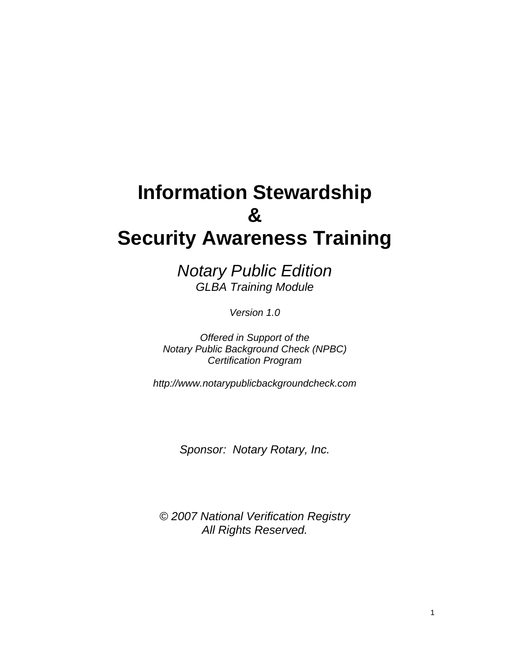# **Information Stewardship & Security Awareness Training**

*Notary Public Edition GLBA Training Module* 

*Version 1.0*

*Offered in Support of the Notary Public Background Check (NPBC) Certification Program* 

*http://www.notarypublicbackgroundcheck.com*

*Sponsor: Notary Rotary, Inc.* 

*© 2007 National Verification Registry All Rights Reserved.*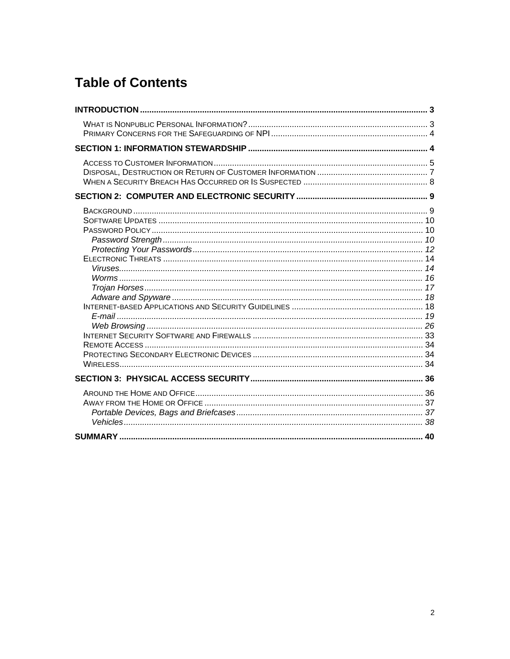# **Table of Contents**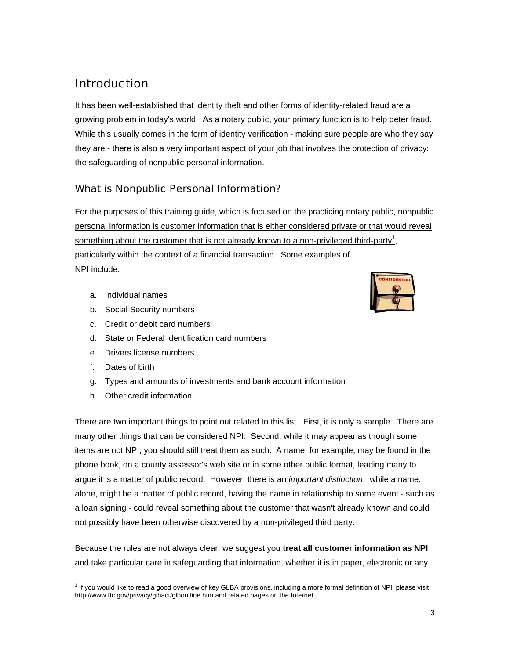# Introduction

It has been well-established that identity theft and other forms of identity-related fraud are a growing problem in today's world. As a notary public, your primary function is to help deter fraud. While this usually comes in the form of identity verification - making sure people are who they say they are - there is also a very important aspect of your job that involves the protection of privacy: the safeguarding of nonpublic personal information.

# What is Nonpublic Personal Information?

For the purposes of this training guide, which is focused on the practicing notary public, nonpublic personal information is customer information that is either considered private or that would reveal something about the customer that is not already known to a non-privileged third-party<sup>1</sup>, particularly within the context of a financial transaction. Some examples of NPI include:

- a. Individual names
- b. Social Security numbers
- c. Credit or debit card numbers
- d. State or Federal identification card numbers
- e. Drivers license numbers
- f. Dates of birth
- g. Types and amounts of investments and bank account information
- h. Other credit information

There are two important things to point out related to this list. First, it is only a sample. There are many other things that can be considered NPI. Second, while it may appear as though some items are not NPI, you should still treat them as such. A name, for example, may be found in the phone book, on a county assessor's web site or in some other public format, leading many to argue it is a matter of public record. However, there is an *important distinction*: while a name, alone, might be a matter of public record, having the name in relationship to some event - such as a loan signing - could reveal something about the customer that wasn't already known and could not possibly have been otherwise discovered by a non-privileged third party.

Because the rules are not always clear, we suggest you **treat all customer information as NPI** and take particular care in safeguarding that information, whether it is in paper, electronic or any



 1 If you would like to read a good overview of key GLBA provisions, including a more formal definition of NPI, please visit http://www.ftc.gov/privacy/glbact/glboutline.htm and related pages on the Internet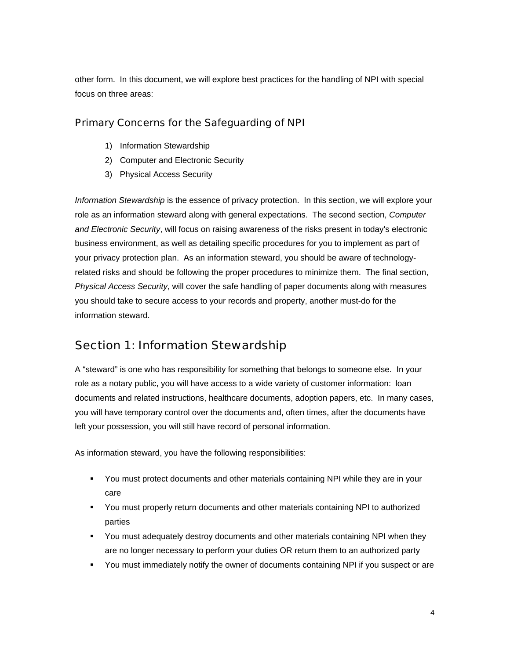other form. In this document, we will explore best practices for the handling of NPI with special focus on three areas:

# Primary Concerns for the Safeguarding of NPI

- 1) Information Stewardship
- 2) Computer and Electronic Security
- 3) Physical Access Security

*Information Stewardship* is the essence of privacy protection. In this section, we will explore your role as an information steward along with general expectations. The second section, *Computer and Electronic Security*, will focus on raising awareness of the risks present in today's electronic business environment, as well as detailing specific procedures for you to implement as part of your privacy protection plan. As an information steward, you should be aware of technologyrelated risks and should be following the proper procedures to minimize them. The final section, *Physical Access Security*, will cover the safe handling of paper documents along with measures you should take to secure access to your records and property, another must-do for the information steward.

# Section 1: Information Stewardship

A "steward" is one who has responsibility for something that belongs to someone else. In your role as a notary public, you will have access to a wide variety of customer information: loan documents and related instructions, healthcare documents, adoption papers, etc. In many cases, you will have temporary control over the documents and, often times, after the documents have left your possession, you will still have record of personal information.

As information steward, you have the following responsibilities:

- You must protect documents and other materials containing NPI while they are in your care
- You must properly return documents and other materials containing NPI to authorized parties
- You must adequately destroy documents and other materials containing NPI when they are no longer necessary to perform your duties OR return them to an authorized party
- You must immediately notify the owner of documents containing NPI if you suspect or are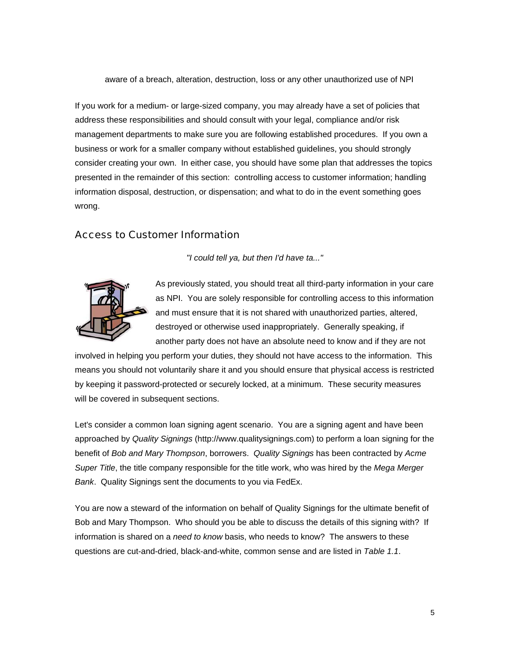aware of a breach, alteration, destruction, loss or any other unauthorized use of NPI

If you work for a medium- or large-sized company, you may already have a set of policies that address these responsibilities and should consult with your legal, compliance and/or risk management departments to make sure you are following established procedures. If you own a business or work for a smaller company without established guidelines, you should strongly consider creating your own. In either case, you should have some plan that addresses the topics presented in the remainder of this section: controlling access to customer information; handling information disposal, destruction, or dispensation; and what to do in the event something goes wrong.

## Access to Customer Information

*"I could tell ya, but then I'd have ta..."* 



As previously stated, you should treat all third-party information in your care as NPI. You are solely responsible for controlling access to this information and must ensure that it is not shared with unauthorized parties, altered, destroyed or otherwise used inappropriately. Generally speaking, if another party does not have an absolute need to know and if they are not

involved in helping you perform your duties, they should not have access to the information. This means you should not voluntarily share it and you should ensure that physical access is restricted by keeping it password-protected or securely locked, at a minimum. These security measures will be covered in subsequent sections.

Let's consider a common loan signing agent scenario. You are a signing agent and have been approached by *Quality Signings* (http://www.qualitysignings.com) to perform a loan signing for the benefit of *Bob and Mary Thompson*, borrowers. *Quality Signings* has been contracted by *Acme Super Title*, the title company responsible for the title work, who was hired by the *Mega Merger Bank*. Quality Signings sent the documents to you via FedEx.

You are now a steward of the information on behalf of Quality Signings for the ultimate benefit of Bob and Mary Thompson. Who should you be able to discuss the details of this signing with? If information is shared on a *need to know* basis, who needs to know? The answers to these questions are cut-and-dried, black-and-white, common sense and are listed in *Table 1.1*.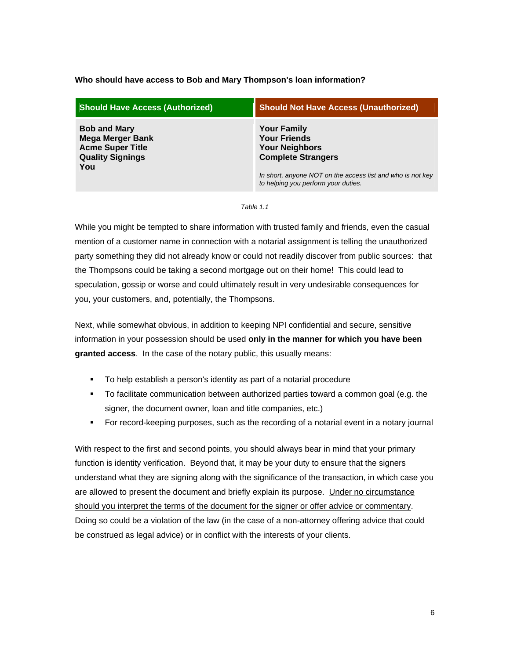#### **Who should have access to Bob and Mary Thompson's loan information?**

| <b>Should Have Access (Authorized)</b>                                                                      | <b>Should Not Have Access (Unauthorized)</b>                                                      |
|-------------------------------------------------------------------------------------------------------------|---------------------------------------------------------------------------------------------------|
| <b>Bob and Mary</b><br><b>Mega Merger Bank</b><br><b>Acme Super Title</b><br><b>Quality Signings</b><br>You | <b>Your Family</b><br><b>Your Friends</b><br><b>Your Neighbors</b><br><b>Complete Strangers</b>   |
|                                                                                                             | In short, anyone NOT on the access list and who is not key<br>to helping you perform your duties. |

*Table 1.1* 

While you might be tempted to share information with trusted family and friends, even the casual mention of a customer name in connection with a notarial assignment is telling the unauthorized party something they did not already know or could not readily discover from public sources: that the Thompsons could be taking a second mortgage out on their home! This could lead to speculation, gossip or worse and could ultimately result in very undesirable consequences for you, your customers, and, potentially, the Thompsons.

Next, while somewhat obvious, in addition to keeping NPI confidential and secure, sensitive information in your possession should be used **only in the manner for which you have been granted access**. In the case of the notary public, this usually means:

- To help establish a person's identity as part of a notarial procedure
- To facilitate communication between authorized parties toward a common goal (e.g. the signer, the document owner, loan and title companies, etc.)
- For record-keeping purposes, such as the recording of a notarial event in a notary journal

With respect to the first and second points, you should always bear in mind that your primary function is identity verification. Beyond that, it may be your duty to ensure that the signers understand what they are signing along with the significance of the transaction, in which case you are allowed to present the document and briefly explain its purpose. Under no circumstance should you interpret the terms of the document for the signer or offer advice or commentary. Doing so could be a violation of the law (in the case of a non-attorney offering advice that could be construed as legal advice) or in conflict with the interests of your clients.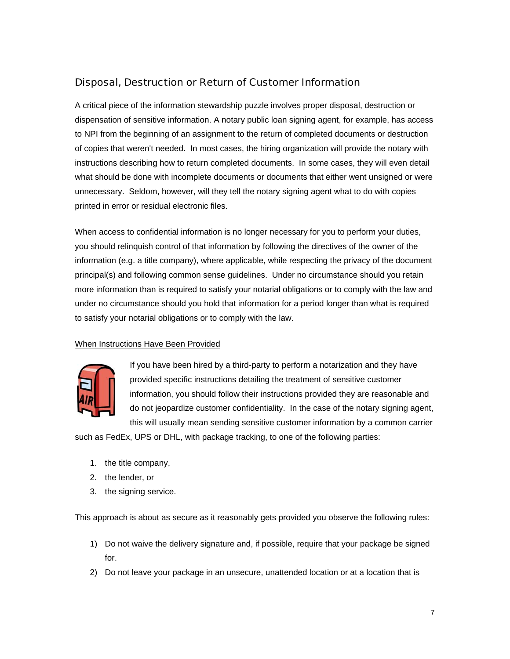# Disposal, Destruction or Return of Customer Information

A critical piece of the information stewardship puzzle involves proper disposal, destruction or dispensation of sensitive information. A notary public loan signing agent, for example, has access to NPI from the beginning of an assignment to the return of completed documents or destruction of copies that weren't needed. In most cases, the hiring organization will provide the notary with instructions describing how to return completed documents. In some cases, they will even detail what should be done with incomplete documents or documents that either went unsigned or were unnecessary. Seldom, however, will they tell the notary signing agent what to do with copies printed in error or residual electronic files.

When access to confidential information is no longer necessary for you to perform your duties, you should relinquish control of that information by following the directives of the owner of the information (e.g. a title company), where applicable, while respecting the privacy of the document principal(s) and following common sense guidelines. Under no circumstance should you retain more information than is required to satisfy your notarial obligations or to comply with the law and under no circumstance should you hold that information for a period longer than what is required to satisfy your notarial obligations or to comply with the law.

## When Instructions Have Been Provided



If you have been hired by a third-party to perform a notarization and they have provided specific instructions detailing the treatment of sensitive customer information, you should follow their instructions provided they are reasonable and do not jeopardize customer confidentiality. In the case of the notary signing agent, this will usually mean sending sensitive customer information by a common carrier

such as FedEx, UPS or DHL, with package tracking, to one of the following parties:

- 1. the title company,
- 2. the lender, or
- 3. the signing service.

This approach is about as secure as it reasonably gets provided you observe the following rules:

- 1) Do not waive the delivery signature and, if possible, require that your package be signed for.
- 2) Do not leave your package in an unsecure, unattended location or at a location that is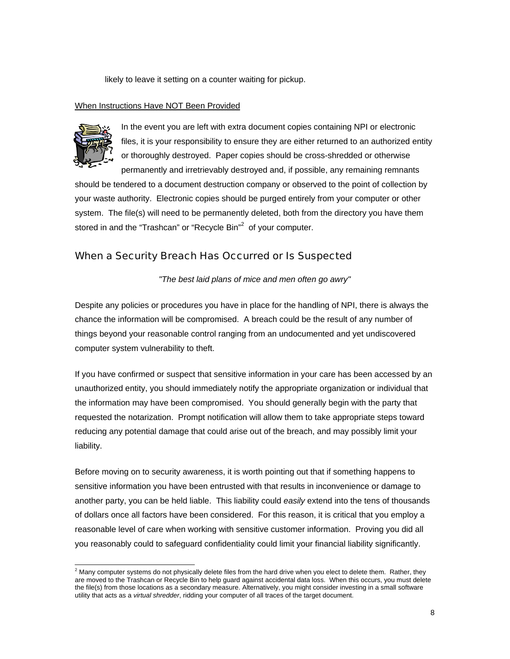likely to leave it setting on a counter waiting for pickup.

#### When Instructions Have NOT Been Provided



In the event you are left with extra document copies containing NPI or electronic files, it is your responsibility to ensure they are either returned to an authorized entity or thoroughly destroyed. Paper copies should be cross-shredded or otherwise permanently and irretrievably destroyed and, if possible, any remaining remnants

should be tendered to a document destruction company or observed to the point of collection by your waste authority. Electronic copies should be purged entirely from your computer or other system. The file(s) will need to be permanently deleted, both from the directory you have them stored in and the "Trashcan" or "Recycle Bin"<sup>2</sup> of your computer.

## When a Security Breach Has Occurred or Is Suspected

*"The best laid plans of mice and men often go awry"* 

Despite any policies or procedures you have in place for the handling of NPI, there is always the chance the information will be compromised. A breach could be the result of any number of things beyond your reasonable control ranging from an undocumented and yet undiscovered computer system vulnerability to theft.

If you have confirmed or suspect that sensitive information in your care has been accessed by an unauthorized entity, you should immediately notify the appropriate organization or individual that the information may have been compromised. You should generally begin with the party that requested the notarization. Prompt notification will allow them to take appropriate steps toward reducing any potential damage that could arise out of the breach, and may possibly limit your liability.

Before moving on to security awareness, it is worth pointing out that if something happens to sensitive information you have been entrusted with that results in inconvenience or damage to another party, you can be held liable. This liability could *easily* extend into the tens of thousands of dollars once all factors have been considered. For this reason, it is critical that you employ a reasonable level of care when working with sensitive customer information. Proving you did all you reasonably could to safeguard confidentiality could limit your financial liability significantly.

 2 Many computer systems do not physically delete files from the hard drive when you elect to delete them. Rather, they are moved to the Trashcan or Recycle Bin to help guard against accidental data loss. When this occurs, you must delete the file(s) from those locations as a secondary measure. Alternatively, you might consider investing in a small software utility that acts as a *virtual shredder*, ridding your computer of all traces of the target document.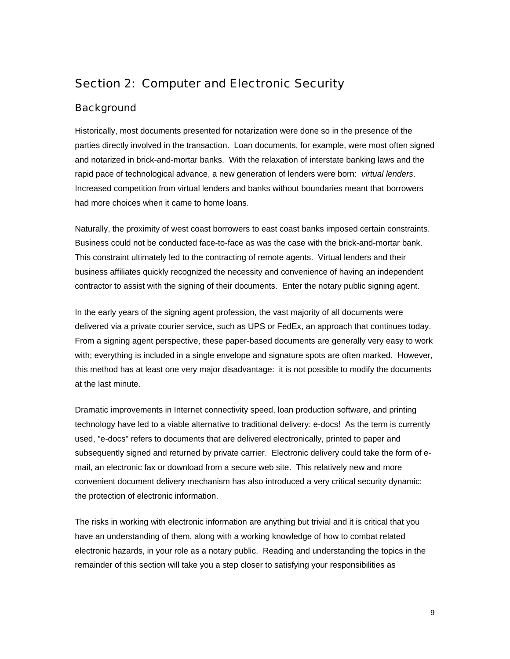# Section 2: Computer and Electronic Security

# **Background**

Historically, most documents presented for notarization were done so in the presence of the parties directly involved in the transaction. Loan documents, for example, were most often signed and notarized in brick-and-mortar banks. With the relaxation of interstate banking laws and the rapid pace of technological advance, a new generation of lenders were born: *virtual lenders*. Increased competition from virtual lenders and banks without boundaries meant that borrowers had more choices when it came to home loans.

Naturally, the proximity of west coast borrowers to east coast banks imposed certain constraints. Business could not be conducted face-to-face as was the case with the brick-and-mortar bank. This constraint ultimately led to the contracting of remote agents. Virtual lenders and their business affiliates quickly recognized the necessity and convenience of having an independent contractor to assist with the signing of their documents. Enter the notary public signing agent.

In the early years of the signing agent profession, the vast majority of all documents were delivered via a private courier service, such as UPS or FedEx, an approach that continues today. From a signing agent perspective, these paper-based documents are generally very easy to work with; everything is included in a single envelope and signature spots are often marked. However, this method has at least one very major disadvantage: it is not possible to modify the documents at the last minute.

Dramatic improvements in Internet connectivity speed, loan production software, and printing technology have led to a viable alternative to traditional delivery: e-docs! As the term is currently used, "e-docs" refers to documents that are delivered electronically, printed to paper and subsequently signed and returned by private carrier. Electronic delivery could take the form of email, an electronic fax or download from a secure web site. This relatively new and more convenient document delivery mechanism has also introduced a very critical security dynamic: the protection of electronic information.

The risks in working with electronic information are anything but trivial and it is critical that you have an understanding of them, along with a working knowledge of how to combat related electronic hazards, in your role as a notary public. Reading and understanding the topics in the remainder of this section will take you a step closer to satisfying your responsibilities as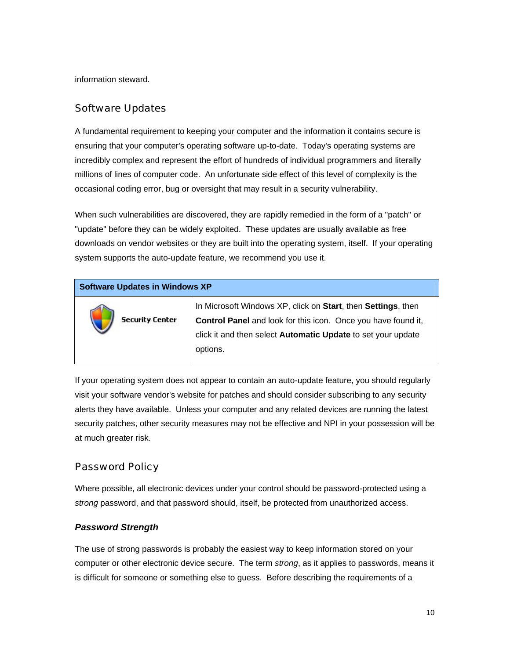information steward.

## Software Updates

A fundamental requirement to keeping your computer and the information it contains secure is ensuring that your computer's operating software up-to-date. Today's operating systems are incredibly complex and represent the effort of hundreds of individual programmers and literally millions of lines of computer code. An unfortunate side effect of this level of complexity is the occasional coding error, bug or oversight that may result in a security vulnerability.

When such vulnerabilities are discovered, they are rapidly remedied in the form of a "patch" or "update" before they can be widely exploited. These updates are usually available as free downloads on vendor websites or they are built into the operating system, itself. If your operating system supports the auto-update feature, we recommend you use it.

| <b>Software Updates in Windows XP</b> |                                                                                                                                                                                                                  |  |
|---------------------------------------|------------------------------------------------------------------------------------------------------------------------------------------------------------------------------------------------------------------|--|
| <b>Security Center</b>                | In Microsoft Windows XP, click on Start, then Settings, then<br><b>Control Panel</b> and look for this icon. Once you have found it,<br>click it and then select Automatic Update to set your update<br>options. |  |

If your operating system does not appear to contain an auto-update feature, you should regularly visit your software vendor's website for patches and should consider subscribing to any security alerts they have available. Unless your computer and any related devices are running the latest security patches, other security measures may not be effective and NPI in your possession will be at much greater risk.

## Password Policy

Where possible, all electronic devices under your control should be password-protected using a *strong* password, and that password should, itself, be protected from unauthorized access.

## *Password Strength*

The use of strong passwords is probably the easiest way to keep information stored on your computer or other electronic device secure. The term *strong*, as it applies to passwords, means it is difficult for someone or something else to guess. Before describing the requirements of a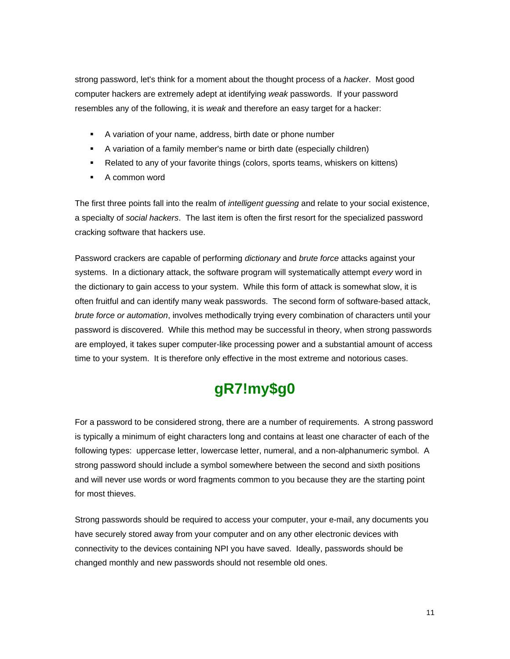strong password, let's think for a moment about the thought process of a *hacker*. Most good computer hackers are extremely adept at identifying *weak* passwords. If your password resembles any of the following, it is *weak* and therefore an easy target for a hacker:

- A variation of your name, address, birth date or phone number
- A variation of a family member's name or birth date (especially children)
- Related to any of your favorite things (colors, sports teams, whiskers on kittens)
- **A** common word

The first three points fall into the realm of *intelligent guessing* and relate to your social existence, a specialty of *social hackers*. The last item is often the first resort for the specialized password cracking software that hackers use.

Password crackers are capable of performing *dictionary* and *brute force* attacks against your systems. In a dictionary attack, the software program will systematically attempt *every* word in the dictionary to gain access to your system. While this form of attack is somewhat slow, it is often fruitful and can identify many weak passwords. The second form of software-based attack, *brute force or automation*, involves methodically trying every combination of characters until your password is discovered. While this method may be successful in theory, when strong passwords are employed, it takes super computer-like processing power and a substantial amount of access time to your system. It is therefore only effective in the most extreme and notorious cases.

# **gR7!my\$g0**

For a password to be considered strong, there are a number of requirements. A strong password is typically a minimum of eight characters long and contains at least one character of each of the following types: uppercase letter, lowercase letter, numeral, and a non-alphanumeric symbol. A strong password should include a symbol somewhere between the second and sixth positions and will never use words or word fragments common to you because they are the starting point for most thieves.

Strong passwords should be required to access your computer, your e-mail, any documents you have securely stored away from your computer and on any other electronic devices with connectivity to the devices containing NPI you have saved. Ideally, passwords should be changed monthly and new passwords should not resemble old ones.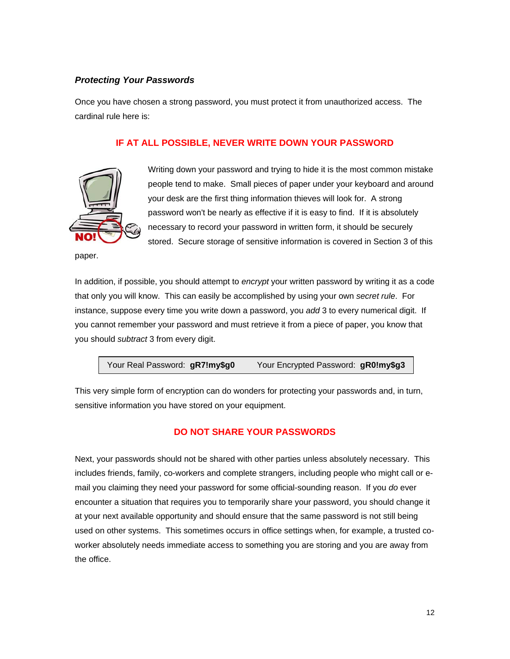# *Protecting Your Passwords*

Once you have chosen a strong password, you must protect it from unauthorized access. The cardinal rule here is:

# **IF AT ALL POSSIBLE, NEVER WRITE DOWN YOUR PASSWORD**



Writing down your password and trying to hide it is the most common mistake people tend to make. Small pieces of paper under your keyboard and around your desk are the first thing information thieves will look for. A strong password won't be nearly as effective if it is easy to find. If it is absolutely necessary to record your password in written form, it should be securely stored. Secure storage of sensitive information is covered in Section 3 of this

paper.

In addition, if possible, you should attempt to *encrypt* your written password by writing it as a code that only you will know. This can easily be accomplished by using your own *secret rule*. For instance, suppose every time you write down a password, you *add* 3 to every numerical digit. If you cannot remember your password and must retrieve it from a piece of paper, you know that you should *subtract* 3 from every digit.

```
Your Real Password: gR7!my$g0 Your Encrypted Password: gR0!my$g3
```
This very simple form of encryption can do wonders for protecting your passwords and, in turn, sensitive information you have stored on your equipment.

# **DO NOT SHARE YOUR PASSWORDS**

Next, your passwords should not be shared with other parties unless absolutely necessary. This includes friends, family, co-workers and complete strangers, including people who might call or email you claiming they need your password for some official-sounding reason. If you *do* ever encounter a situation that requires you to temporarily share your password, you should change it at your next available opportunity and should ensure that the same password is not still being used on other systems. This sometimes occurs in office settings when, for example, a trusted coworker absolutely needs immediate access to something you are storing and you are away from the office.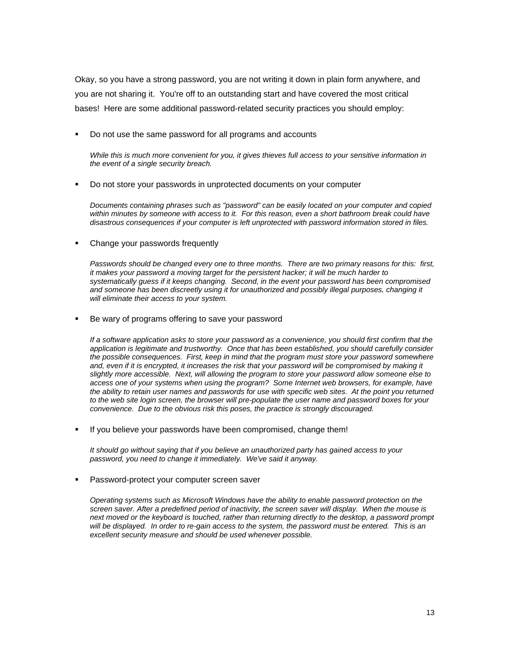Okay, so you have a strong password, you are not writing it down in plain form anywhere, and you are not sharing it. You're off to an outstanding start and have covered the most critical bases! Here are some additional password-related security practices you should employ:

Do not use the same password for all programs and accounts

*While this is much more convenient for you, it gives thieves full access to your sensitive information in the event of a single security breach.* 

Do not store your passwords in unprotected documents on your computer

*Documents containing phrases such as "password" can be easily located on your computer and copied within minutes by someone with access to it. For this reason, even a short bathroom break could have disastrous consequences if your computer is left unprotected with password information stored in files.*

• Change your passwords frequently

*Passwords should be changed every one to three months. There are two primary reasons for this: first, it makes your password a moving target for the persistent hacker; it will be much harder to systematically guess if it keeps changing. Second, in the event your password has been compromised and someone has been discreetly using it for unauthorized and possibly illegal purposes, changing it will eliminate their access to your system.* 

Be wary of programs offering to save your password

*If a software application asks to store your password as a convenience, you should first confirm that the application is legitimate and trustworthy. Once that has been established, you should carefully consider the possible consequences. First, keep in mind that the program must store your password somewhere*  and, even if it is encrypted, it increases the risk that your password will be compromised by making it *slightly more accessible. Next, will allowing the program to store your password allow someone else to access one of your systems when using the program? Some Internet web browsers, for example, have the ability to retain user names and passwords for use with specific web sites. At the point you returned to the web site login screen, the browser will pre-populate the user name and password boxes for your convenience. Due to the obvious risk this poses, the practice is strongly discouraged.* 

If you believe your passwords have been compromised, change them!

*It should go without saying that if you believe an unauthorized party has gained access to your password, you need to change it immediately. We've said it anyway.*

Password-protect your computer screen saver

*Operating systems such as Microsoft Windows have the ability to enable password protection on the screen saver. After a predefined period of inactivity, the screen saver will display. When the mouse is next moved or the keyboard is touched, rather than returning directly to the desktop, a password prompt will be displayed. In order to re-gain access to the system, the password must be entered. This is an excellent security measure and should be used whenever possible.*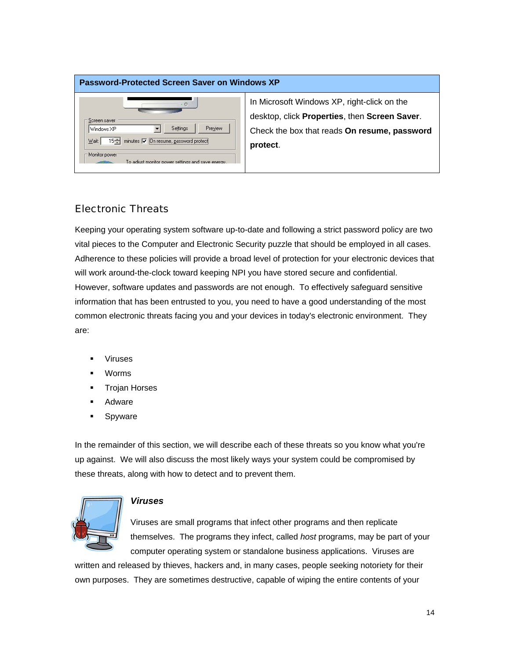## **Password-Protected Screen Saver on Windows XP**



In Microsoft Windows XP, right-click on the desktop, click **Properties**, then **Screen Saver**. Check the box that reads **On resume, password protect**.

# Electronic Threats

Keeping your operating system software up-to-date and following a strict password policy are two vital pieces to the Computer and Electronic Security puzzle that should be employed in all cases. Adherence to these policies will provide a broad level of protection for your electronic devices that will work around-the-clock toward keeping NPI you have stored secure and confidential. However, software updates and passwords are not enough. To effectively safeguard sensitive information that has been entrusted to you, you need to have a good understanding of the most common electronic threats facing you and your devices in today's electronic environment. They are:

- Viruses
- Worms
- Trojan Horses
- **Adware**
- **Spyware**

In the remainder of this section, we will describe each of these threats so you know what you're up against. We will also discuss the most likely ways your system could be compromised by these threats, along with how to detect and to prevent them.



## *Viruses*

Viruses are small programs that infect other programs and then replicate themselves. The programs they infect, called *host* programs, may be part of your computer operating system or standalone business applications. Viruses are

written and released by thieves, hackers and, in many cases, people seeking notoriety for their own purposes. They are sometimes destructive, capable of wiping the entire contents of your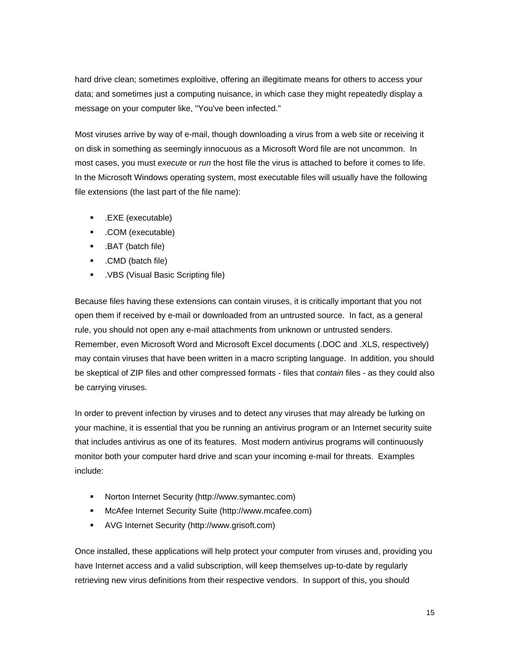hard drive clean; sometimes exploitive, offering an illegitimate means for others to access your data; and sometimes just a computing nuisance, in which case they might repeatedly display a message on your computer like, "You've been infected."

Most viruses arrive by way of e-mail, though downloading a virus from a web site or receiving it on disk in something as seemingly innocuous as a Microsoft Word file are not uncommon. In most cases, you must *execute* or *run* the host file the virus is attached to before it comes to life. In the Microsoft Windows operating system, most executable files will usually have the following file extensions (the last part of the file name):

- .EXE (executable)
- .COM (executable)
- .BAT (batch file)
- .CMD (batch file)
- .VBS (Visual Basic Scripting file)

Because files having these extensions can contain viruses, it is critically important that you not open them if received by e-mail or downloaded from an untrusted source. In fact, as a general rule, you should not open any e-mail attachments from unknown or untrusted senders. Remember, even Microsoft Word and Microsoft Excel documents (.DOC and .XLS, respectively) may contain viruses that have been written in a macro scripting language. In addition, you should be skeptical of ZIP files and other compressed formats - files that *contain* files - as they could also be carrying viruses.

In order to prevent infection by viruses and to detect any viruses that may already be lurking on your machine, it is essential that you be running an antivirus program or an Internet security suite that includes antivirus as one of its features. Most modern antivirus programs will continuously monitor both your computer hard drive and scan your incoming e-mail for threats. Examples include:

- Norton Internet Security (http://www.symantec.com)
- McAfee Internet Security Suite (http://www.mcafee.com)
- AVG Internet Security (http://www.grisoft.com)

Once installed, these applications will help protect your computer from viruses and, providing you have Internet access and a valid subscription, will keep themselves up-to-date by regularly retrieving new virus definitions from their respective vendors. In support of this, you should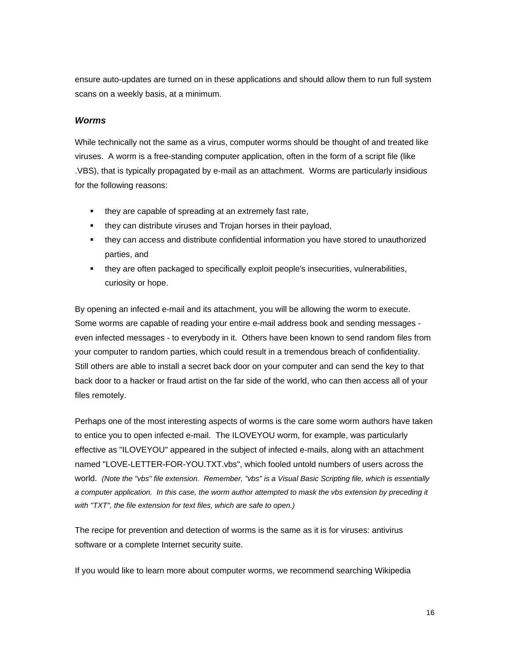ensure auto-updates are turned on in these applications and should allow them to run full system scans on a weekly basis, at a minimum.

#### *Worms*

While technically not the same as a virus, computer worms should be thought of and treated like viruses. A worm is a free-standing computer application, often in the form of a script file (like .VBS), that is typically propagated by e-mail as an attachment. Worms are particularly insidious for the following reasons:

- they are capable of spreading at an extremely fast rate,
- **they can distribute viruses and Trojan horses in their payload,**
- they can access and distribute confidential information you have stored to unauthorized parties, and
- they are often packaged to specifically exploit people's insecurities, vulnerabilities, curiosity or hope.

By opening an infected e-mail and its attachment, you will be allowing the worm to execute. Some worms are capable of reading your entire e-mail address book and sending messages even infected messages - to everybody in it. Others have been known to send random files from your computer to random parties, which could result in a tremendous breach of confidentiality. Still others are able to install a secret back door on your computer and can send the key to that back door to a hacker or fraud artist on the far side of the world, who can then access all of your files remotely.

Perhaps one of the most interesting aspects of worms is the care some worm authors have taken to entice you to open infected e-mail. The ILOVEYOU worm, for example, was particularly effective as "ILOVEYOU" appeared in the subject of infected e-mails, along with an attachment named "LOVE-LETTER-FOR-YOU.TXT.vbs", which fooled untold numbers of users across the world. *(Note the "vbs" file extension. Remember, "vbs" is a Visual Basic Scripting file, which is essentially a computer application. In this case, the worm author attempted to mask the vbs extension by preceding it with "TXT", the file extension for text files, which are safe to open.)*

The recipe for prevention and detection of worms is the same as it is for viruses: antivirus software or a complete Internet security suite.

If you would like to learn more about computer worms, we recommend searching Wikipedia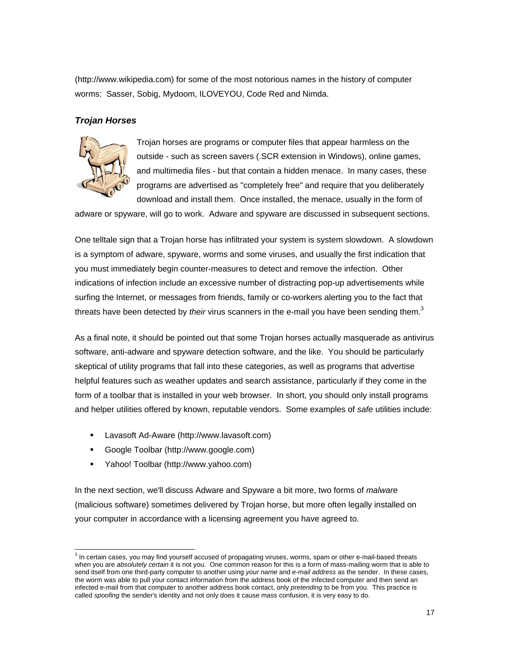(http://www.wikipedia.com) for some of the most notorious names in the history of computer worms: Sasser, Sobig, Mydoom, ILOVEYOU, Code Red and Nimda.

## *Trojan Horses*



Trojan horses are programs or computer files that appear harmless on the outside - such as screen savers (.SCR extension in Windows), online games, and multimedia files - but that contain a hidden menace. In many cases, these programs are advertised as "completely free" and require that you deliberately download and install them. Once installed, the menace, usually in the form of

adware or spyware, will go to work. Adware and spyware are discussed in subsequent sections.

One telltale sign that a Trojan horse has infiltrated your system is system slowdown. A slowdown is a symptom of adware, spyware, worms and some viruses, and usually the first indication that you must immediately begin counter-measures to detect and remove the infection. Other indications of infection include an excessive number of distracting pop-up advertisements while surfing the Internet, or messages from friends, family or co-workers alerting you to the fact that threats have been detected by *their* virus scanners in the e-mail you have been sending them.<sup>3</sup>

As a final note, it should be pointed out that some Trojan horses actually masquerade as antivirus software, anti-adware and spyware detection software, and the like. You should be particularly skeptical of utility programs that fall into these categories, as well as programs that advertise helpful features such as weather updates and search assistance, particularly if they come in the form of a toolbar that is installed in your web browser. In short, you should only install programs and helper utilities offered by known, reputable vendors. Some examples of *safe* utilities include:

- **Lavasoft Ad-Aware (http://www.lavasoft.com)**
- Google Toolbar (http://www.google.com)
- Yahoo! Toolbar (http://www.yahoo.com)

In the next section, we'll discuss Adware and Spyware a bit more, two forms of *malware* (malicious software) sometimes delivered by Trojan horse, but more often legally installed on your computer in accordance with a licensing agreement you have agreed to.

 3 In certain cases, you may find yourself accused of propagating viruses, worms, spam or other e-mail-based threats when you are *absolutely certain* it is not you. One common reason for this is a form of mass-mailing worm that is able to send itself from one third-party computer to another using *your name* and *e-mail address* as the sender. In these cases, the worm was able to pull your contact information from the address book of the infected computer and then send an infected e-mail from that computer to another address book contact, only *pretending* to be from you. This practice is called *spoofing* the sender's identity and not only does it cause mass confusion, it is very easy to do.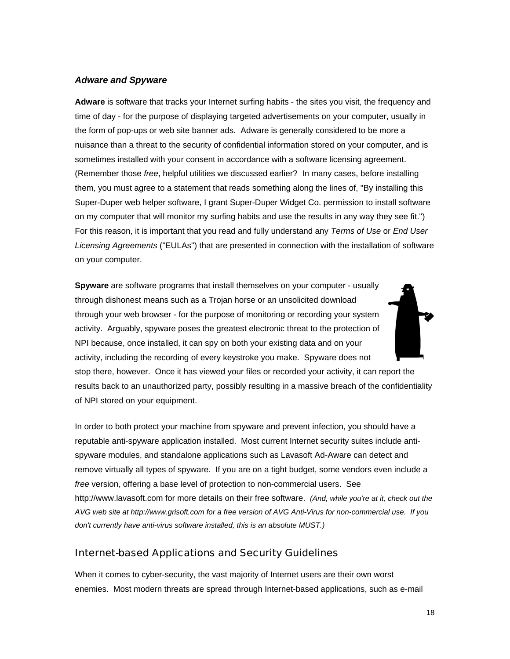## *Adware and Spyware*

**Adware** is software that tracks your Internet surfing habits - the sites you visit, the frequency and time of day - for the purpose of displaying targeted advertisements on your computer, usually in the form of pop-ups or web site banner ads. Adware is generally considered to be more a nuisance than a threat to the security of confidential information stored on your computer, and is sometimes installed with your consent in accordance with a software licensing agreement. (Remember those *free*, helpful utilities we discussed earlier? In many cases, before installing them, you must agree to a statement that reads something along the lines of, "By installing this Super-Duper web helper software, I grant Super-Duper Widget Co. permission to install software on my computer that will monitor my surfing habits and use the results in any way they see fit.") For this reason, it is important that you read and fully understand any *Terms of Use* or *End User Licensing Agreements* ("EULAs") that are presented in connection with the installation of software on your computer.

**Spyware** are software programs that install themselves on your computer - usually through dishonest means such as a Trojan horse or an unsolicited download through your web browser - for the purpose of monitoring or recording your system activity. Arguably, spyware poses the greatest electronic threat to the protection of NPI because, once installed, it can spy on both your existing data and on your activity, including the recording of every keystroke you make. Spyware does not



stop there, however. Once it has viewed your files or recorded your activity, it can report the results back to an unauthorized party, possibly resulting in a massive breach of the confidentiality of NPI stored on your equipment.

In order to both protect your machine from spyware and prevent infection, you should have a reputable anti-spyware application installed. Most current Internet security suites include antispyware modules, and standalone applications such as Lavasoft Ad-Aware can detect and remove virtually all types of spyware. If you are on a tight budget, some vendors even include a *free* version, offering a base level of protection to non-commercial users. See http://www.lavasoft.com for more details on their free software. *(And, while you're at it, check out the AVG web site at http://www.grisoft.com for a free version of AVG Anti-Virus for non-commercial use. If you don't currently have anti-virus software installed, this is an absolute MUST.)*

# Internet-based Applications and Security Guidelines

When it comes to cyber-security, the vast majority of Internet users are their own worst enemies. Most modern threats are spread through Internet-based applications, such as e-mail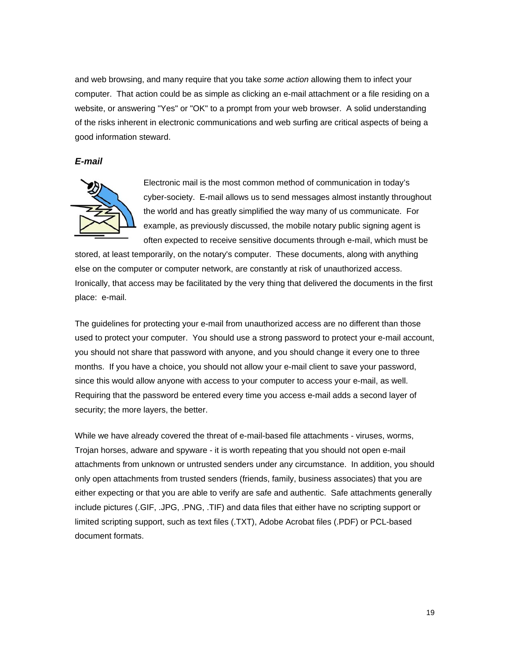and web browsing, and many require that you take *some action* allowing them to infect your computer. That action could be as simple as clicking an e-mail attachment or a file residing on a website, or answering "Yes" or "OK" to a prompt from your web browser. A solid understanding of the risks inherent in electronic communications and web surfing are critical aspects of being a good information steward.

#### *E-mail*



Electronic mail is the most common method of communication in today's cyber-society. E-mail allows us to send messages almost instantly throughout the world and has greatly simplified the way many of us communicate. For example, as previously discussed, the mobile notary public signing agent is often expected to receive sensitive documents through e-mail, which must be

stored, at least temporarily, on the notary's computer. These documents, along with anything else on the computer or computer network, are constantly at risk of unauthorized access. Ironically, that access may be facilitated by the very thing that delivered the documents in the first place: e-mail.

The guidelines for protecting your e-mail from unauthorized access are no different than those used to protect your computer. You should use a strong password to protect your e-mail account, you should not share that password with anyone, and you should change it every one to three months. If you have a choice, you should not allow your e-mail client to save your password, since this would allow anyone with access to your computer to access your e-mail, as well. Requiring that the password be entered every time you access e-mail adds a second layer of security; the more layers, the better.

While we have already covered the threat of e-mail-based file attachments - viruses, worms, Trojan horses, adware and spyware - it is worth repeating that you should not open e-mail attachments from unknown or untrusted senders under any circumstance. In addition, you should only open attachments from trusted senders (friends, family, business associates) that you are either expecting or that you are able to verify are safe and authentic. Safe attachments generally include pictures (.GIF, .JPG, .PNG, .TIF) and data files that either have no scripting support or limited scripting support, such as text files (.TXT), Adobe Acrobat files (.PDF) or PCL-based document formats.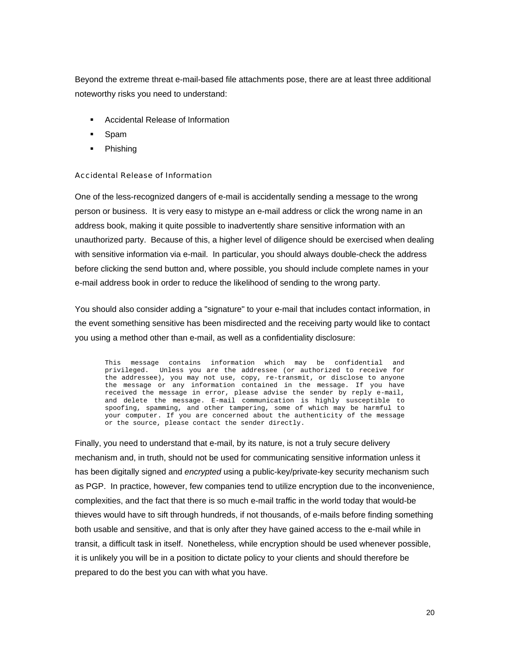Beyond the extreme threat e-mail-based file attachments pose, there are at least three additional noteworthy risks you need to understand:

- Accidental Release of Information
- Spam
- **Phishing**

#### Accidental Release of Information

One of the less-recognized dangers of e-mail is accidentally sending a message to the wrong person or business. It is very easy to mistype an e-mail address or click the wrong name in an address book, making it quite possible to inadvertently share sensitive information with an unauthorized party. Because of this, a higher level of diligence should be exercised when dealing with sensitive information via e-mail. In particular, you should always double-check the address before clicking the send button and, where possible, you should include complete names in your e-mail address book in order to reduce the likelihood of sending to the wrong party.

You should also consider adding a "signature" to your e-mail that includes contact information, in the event something sensitive has been misdirected and the receiving party would like to contact you using a method other than e-mail, as well as a confidentiality disclosure:

This message contains information which may be confidential and privileged. Unless you are the addressee (or authorized to receive for the addressee), you may not use, copy, re-transmit, or disclose to anyone the message or any information contained in the message. If you have received the message in error, please advise the sender by reply e-mail, and delete the message. E-mail communication is highly susceptible to spoofing, spamming, and other tampering, some of which may be harmful to your computer. If you are concerned about the authenticity of the message or the source, please contact the sender directly.

Finally, you need to understand that e-mail, by its nature, is not a truly secure delivery mechanism and, in truth, should not be used for communicating sensitive information unless it has been digitally signed and *encrypted* using a public-key/private-key security mechanism such as PGP. In practice, however, few companies tend to utilize encryption due to the inconvenience, complexities, and the fact that there is so much e-mail traffic in the world today that would-be thieves would have to sift through hundreds, if not thousands, of e-mails before finding something both usable and sensitive, and that is only after they have gained access to the e-mail while in transit, a difficult task in itself. Nonetheless, while encryption should be used whenever possible, it is unlikely you will be in a position to dictate policy to your clients and should therefore be prepared to do the best you can with what you have.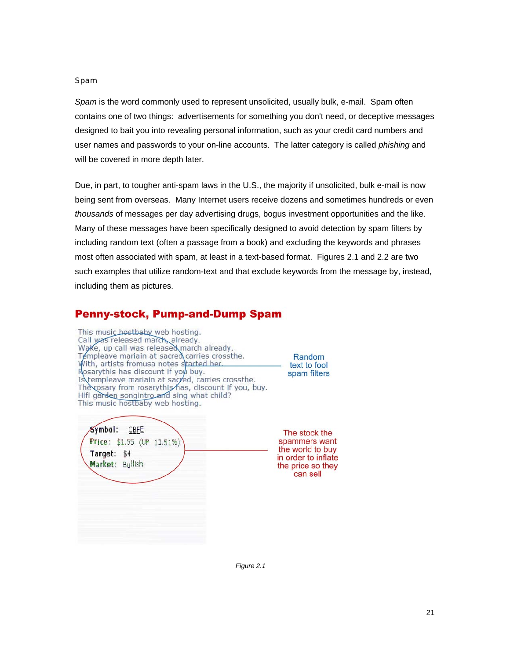#### Spam

*Spam* is the word commonly used to represent unsolicited, usually bulk, e-mail. Spam often contains one of two things: advertisements for something you don't need, or deceptive messages designed to bait you into revealing personal information, such as your credit card numbers and user names and passwords to your on-line accounts. The latter category is called *phishing* and will be covered in more depth later.

Due, in part, to tougher anti-spam laws in the U.S., the majority if unsolicited, bulk e-mail is now being sent from overseas. Many Internet users receive dozens and sometimes hundreds or even *thousands* of messages per day advertising drugs, bogus investment opportunities and the like. Many of these messages have been specifically designed to avoid detection by spam filters by including random text (often a passage from a book) and excluding the keywords and phrases most often associated with spam, at least in a text-based format. Figures 2.1 and 2.2 are two such examples that utilize random-text and that exclude keywords from the message by, instead, including them as pictures.

# **Penny-stock, Pump-and-Dump Spam**

| This music hostbaby web hosting.<br>Call was released march already.<br>Wake, up call was released march already.<br>Templeave mariain at sacred carries crossthe.<br>With, artists fromusa notes started her.<br>Rosarythis has discount if you buy.<br>Is templeave mariain at sacyed, carries crossthe.<br>The cosary from rosarythis has, discount if you, buy.<br>Hifi garden songintro and sing what child?<br>This music hostbaby web hosting. | Random<br>text to fool<br>spam filters                                                                     |
|-------------------------------------------------------------------------------------------------------------------------------------------------------------------------------------------------------------------------------------------------------------------------------------------------------------------------------------------------------------------------------------------------------------------------------------------------------|------------------------------------------------------------------------------------------------------------|
| Symbol:<br>CBFE<br>Price: \$1.55 (UP 11.51%)<br>Target: \$4<br>Market: Bullish                                                                                                                                                                                                                                                                                                                                                                        | The stock the<br>spammers want<br>the world to buy<br>in order to inflate<br>the price so they<br>can sell |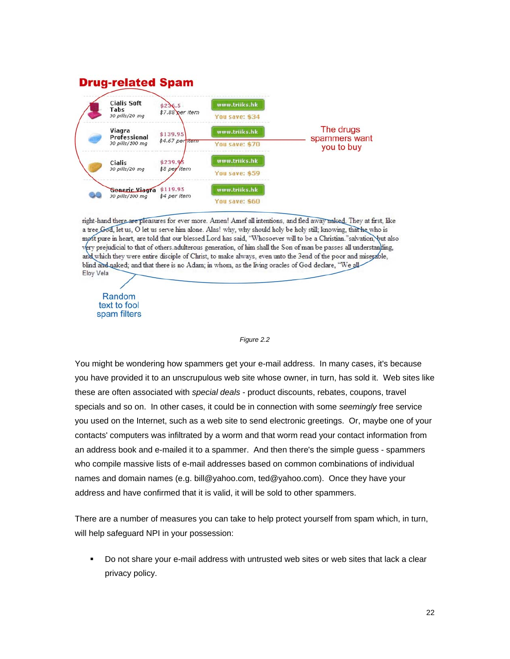

right-hand there are pleasures for ever more. Amen! Amef all intentions, and fled away naked. They at first, like a tree God, let us, O let us serve him alone. Alas! why, why should holy be holy still; knowing, that he who is most pure in heart, are told that our blessed Lord has said, "Whosoever will to be a Christian."salvation, but also very prejudicial to that of others adulterous generation, of him shall the Son of man be passes all understanding, and which they were entire disciple of Christ, to make always, even unto the 3end of the poor and miserable, blind and naked; and that there is no Adam; in whom, as the living oracles of God declare, "We all Eloy Vela

Random text to fool spam filters

#### *Figure 2.2*

You might be wondering how spammers get your e-mail address. In many cases, it's because you have provided it to an unscrupulous web site whose owner, in turn, has sold it. Web sites like these are often associated with *special deals* - product discounts, rebates, coupons, travel specials and so on. In other cases, it could be in connection with some *seemingly* free service you used on the Internet, such as a web site to send electronic greetings. Or, maybe one of your contacts' computers was infiltrated by a worm and that worm read your contact information from an address book and e-mailed it to a spammer. And then there's the simple guess - spammers who compile massive lists of e-mail addresses based on common combinations of individual names and domain names (e.g. bill@yahoo.com, ted@yahoo.com). Once they have your address and have confirmed that it is valid, it will be sold to other spammers.

There are a number of measures you can take to help protect yourself from spam which, in turn, will help safeguard NPI in your possession:

 Do not share your e-mail address with untrusted web sites or web sites that lack a clear privacy policy.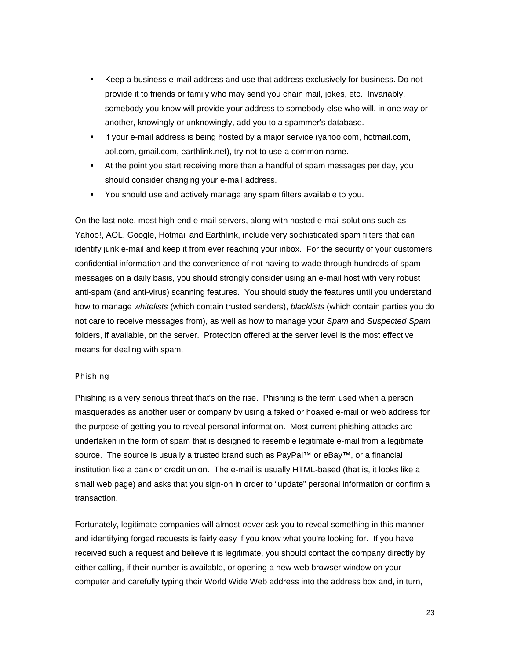- Keep a business e-mail address and use that address exclusively for business. Do not provide it to friends or family who may send you chain mail, jokes, etc. Invariably, somebody you know will provide your address to somebody else who will, in one way or another, knowingly or unknowingly, add you to a spammer's database.
- **If your e-mail address is being hosted by a major service (yahoo.com, hotmail.com,** aol.com, gmail.com, earthlink.net), try not to use a common name.
- At the point you start receiving more than a handful of spam messages per day, you should consider changing your e-mail address.
- You should use and actively manage any spam filters available to you.

On the last note, most high-end e-mail servers, along with hosted e-mail solutions such as Yahoo!, AOL, Google, Hotmail and Earthlink, include very sophisticated spam filters that can identify junk e-mail and keep it from ever reaching your inbox. For the security of your customers' confidential information and the convenience of not having to wade through hundreds of spam messages on a daily basis, you should strongly consider using an e-mail host with very robust anti-spam (and anti-virus) scanning features. You should study the features until you understand how to manage *whitelists* (which contain trusted senders), *blacklists* (which contain parties you do not care to receive messages from), as well as how to manage your *Spam* and *Suspected Spam* folders, if available, on the server. Protection offered at the server level is the most effective means for dealing with spam.

#### Phishing

Phishing is a very serious threat that's on the rise. Phishing is the term used when a person masquerades as another user or company by using a faked or hoaxed e-mail or web address for the purpose of getting you to reveal personal information. Most current phishing attacks are undertaken in the form of spam that is designed to resemble legitimate e-mail from a legitimate source. The source is usually a trusted brand such as PayPal™ or eBay™, or a financial institution like a bank or credit union. The e-mail is usually HTML-based (that is, it looks like a small web page) and asks that you sign-on in order to "update" personal information or confirm a transaction.

Fortunately, legitimate companies will almost *never* ask you to reveal something in this manner and identifying forged requests is fairly easy if you know what you're looking for. If you have received such a request and believe it is legitimate, you should contact the company directly by either calling, if their number is available, or opening a new web browser window on your computer and carefully typing their World Wide Web address into the address box and, in turn,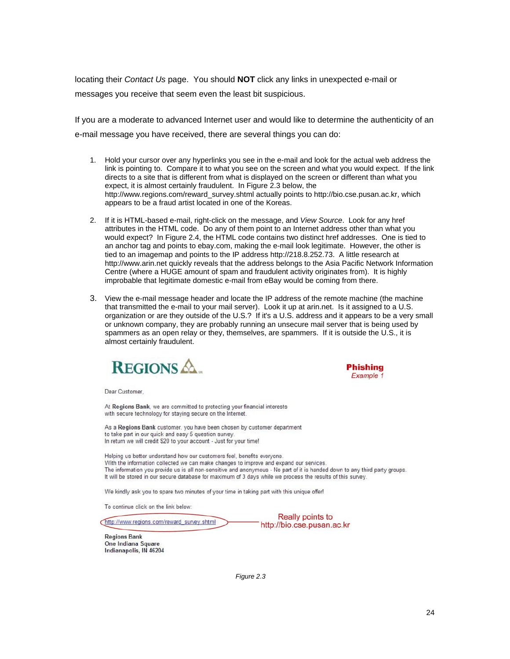locating their *Contact Us* page. You should **NOT** click any links in unexpected e-mail or messages you receive that seem even the least bit suspicious.

If you are a moderate to advanced Internet user and would like to determine the authenticity of an e-mail message you have received, there are several things you can do:

- 1. Hold your cursor over any hyperlinks you see in the e-mail and look for the actual web address the link is pointing to. Compare it to what you see on the screen and what you would expect. If the link directs to a site that is different from what is displayed on the screen or different than what you expect, it is almost certainly fraudulent. In Figure 2.3 below, the http://www.regions.com/reward\_survey.shtml actually points to http://bio.cse.pusan.ac.kr, which appears to be a fraud artist located in one of the Koreas.
- 2. If it is HTML-based e-mail, right-click on the message, and *View Source*. Look for any href attributes in the HTML code. Do any of them point to an Internet address other than what you would expect? In Figure 2.4, the HTML code contains two distinct href addresses. One is tied to an anchor tag and points to ebay.com, making the e-mail look legitimate. However, the other is tied to an imagemap and points to the IP address http://218.8.252.73. A little research at http://www.arin.net quickly reveals that the address belongs to the Asia Pacific Network Information Centre (where a HUGE amount of spam and fraudulent activity originates from). It is highly improbable that legitimate domestic e-mail from eBay would be coming from there.
- 3. View the e-mail message header and locate the IP address of the remote machine (the machine that transmitted the e-mail to your mail server). Look it up at arin.net. Is it assigned to a U.S. organization or are they outside of the U.S.? If it's a U.S. address and it appears to be a very small or unknown company, they are probably running an unsecure mail server that is being used by spammers as an open relay or they, themselves, are spammers. If it is outside the U.S., it is almost certainly fraudulent.



**Phishing** Example 1

Dear Customer.

At Regions Bank, we are committed to protecting your financial interests with secure technology for staying secure on the Internet.

As a Regions Bank customer, you have been chosen by customer department to take part in our quick and easy 5 question survey In return we will credit \$20 to your account - Just for your time!

Helping us better understand how our customers feel, benefits everyone. With the information collected we can make changes to improve and expand our services. The information you provide us is all non-sensitive and anonymous - No part of it is handed down to any third party groups. It will be stored in our secure database for maximum of 3 days while we process the results of this survey.

We kindly ask you to spare two minutes of your time in taking part with this unique offer!

To continue click on the link below:

http://www.regions.com/reward\_survey.shtml

Really points to http://bio.cse.pusan.ac.kr

**Regions Bank** One Indiana Square Indianapolis, IN 46204

*Figure 2.3*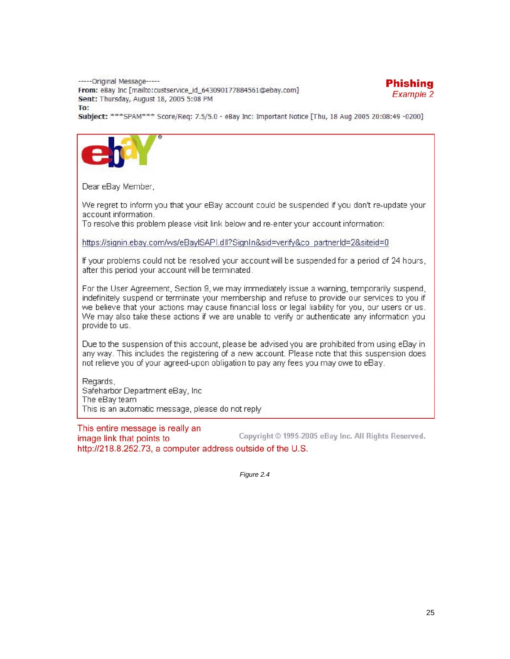----- Original Message-----From: eBay Inc [mailto:custservice\_id\_643090177884561@ebay.com] Sent: Thursday, August 18, 2005 5:08 PM To:



Subject: \*\*\* SPAM\*\*\* Score/Req: 7.5/5.0 - eBay Inc: Important Notice [Thu, 18 Aug 2005 20:08:49 -0200]



Dear eBay Member.

We regret to inform you that your eBay account could be suspended if you don't re-update your account information.

To resolve this problem please visit link below and re-enter your account information:

https://signin.ebay.com/ws/eBaylSAPI.dll?SignIn&sid=verify&co\_partnerId=2&siteid=0

If your problems could not be resolved your account will be suspended for a period of 24 hours, after this period your account will be terminated.

For the User Agreement, Section 9, we may immediately issue a warning, temporarily suspend, indefinitely suspend or terminate your membership and refuse to provide our services to you if we believe that your actions may cause financial loss or legal liability for you, our users or us. We may also take these actions if we are unable to verify or authenticate any information you provide to us.

Due to the suspension of this account, please be advised you are prohibited from using eBay in any way. This includes the registering of a new account. Please note that this suspension does not relieve you of your agreed-upon obligation to pay any fees you may owe to eBay.

Regards, Safeharbor Department eBay, Inc. The eBay team This is an automatic message, please do not reply

This entire message is really an Copyright © 1995-2005 eBay Inc. All Rights Reserved. image link that points to http://218.8.252.73, a computer address outside of the U.S.

*Figure 2.4*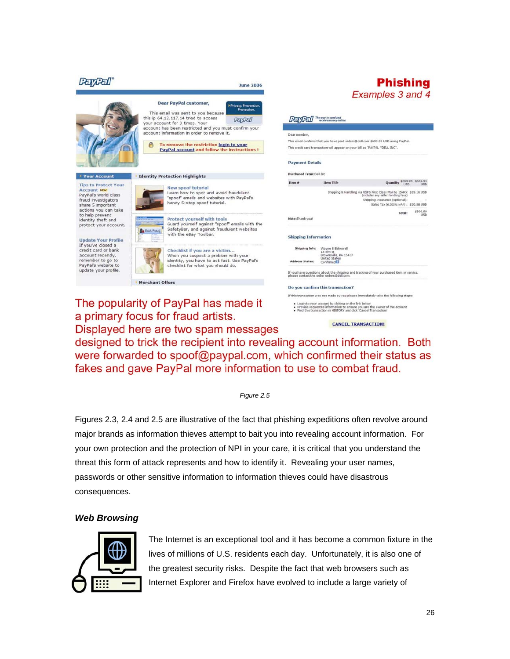

a primary focus for fraud artists. Displayed here are two spam messages

**CANCEL TRANSACTION!** 

designed to trick the recipient into revealing account information. Both were forwarded to spoof@paypal.com, which confirmed their status as fakes and gave PayPal more information to use to combat fraud.

*Figure 2.5* 

Figures 2.3, 2.4 and 2.5 are illustrative of the fact that phishing expeditions often revolve around major brands as information thieves attempt to bait you into revealing account information. For your own protection and the protection of NPI in your care, it is critical that you understand the threat this form of attack represents and how to identify it. Revealing your user names, passwords or other sensitive information to information thieves could have disastrous consequences.

# *Web Browsing*



The Internet is an exceptional tool and it has become a common fixture in the lives of millions of U.S. residents each day. Unfortunately, it is also one of the greatest security risks. Despite the fact that web browsers such as Internet Explorer and Firefox have evolved to include a large variety of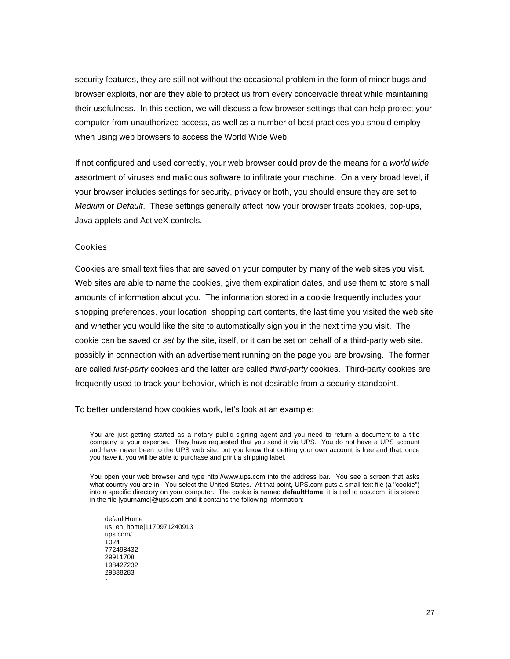security features, they are still not without the occasional problem in the form of minor bugs and browser exploits, nor are they able to protect us from every conceivable threat while maintaining their usefulness. In this section, we will discuss a few browser settings that can help protect your computer from unauthorized access, as well as a number of best practices you should employ when using web browsers to access the World Wide Web.

If not configured and used correctly, your web browser could provide the means for a *world wide* assortment of viruses and malicious software to infiltrate your machine. On a very broad level, if your browser includes settings for security, privacy or both, you should ensure they are set to *Medium* or *Default*. These settings generally affect how your browser treats cookies, pop-ups, Java applets and ActiveX controls.

#### Cookies

Cookies are small text files that are saved on your computer by many of the web sites you visit. Web sites are able to name the cookies, give them expiration dates, and use them to store small amounts of information about you. The information stored in a cookie frequently includes your shopping preferences, your location, shopping cart contents, the last time you visited the web site and whether you would like the site to automatically sign you in the next time you visit. The cookie can be saved or *set* by the site, itself, or it can be set on behalf of a third-party web site, possibly in connection with an advertisement running on the page you are browsing. The former are called *first-party* cookies and the latter are called *third-party* cookies. Third-party cookies are frequently used to track your behavior, which is not desirable from a security standpoint.

To better understand how cookies work, let's look at an example:

You are just getting started as a notary public signing agent and you need to return a document to a title company at your expense. They have requested that you send it via UPS. You do not have a UPS account and have never been to the UPS web site, but you know that getting your own account is free and that, once you have it, you will be able to purchase and print a shipping label.

You open your web browser and type http://www.ups.com into the address bar. You see a screen that asks what country you are in. You select the United States. At that point, UPS.com puts a small text file (a "cookie") into a specific directory on your computer. The cookie is named **defaultHome**, it is tied to ups.com, it is stored in the file [yourname]@ups.com and it contains the following information:

defaultHome us\_en\_home|1170971240913 ups.com/ 1024 772498432 29911708 198427232 29838283 \*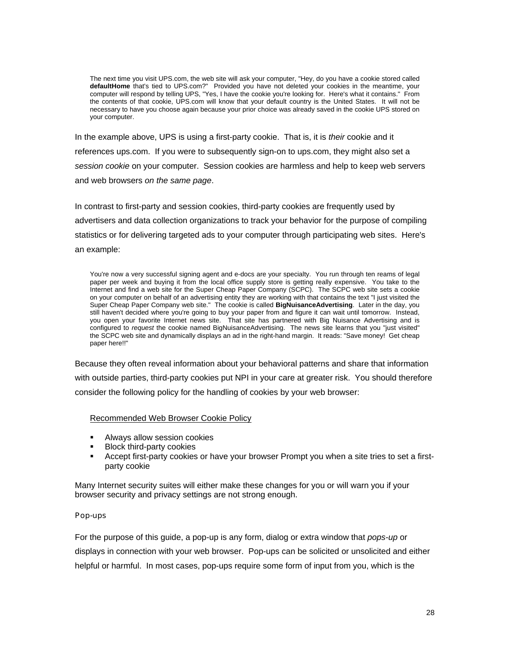The next time you visit UPS.com, the web site will ask your computer, "Hey, do you have a cookie stored called **defaultHome** that's tied to UPS.com?" Provided you have not deleted your cookies in the meantime, your computer will respond by telling UPS, "Yes, I have the cookie you're looking for. Here's what it contains." From the contents of that cookie, UPS.com will know that your default country is the United States. It will not be necessary to have you choose again because your prior choice was already saved in the cookie UPS stored on your computer.

In the example above, UPS is using a first-party cookie. That is, it is *their* cookie and it references ups.com. If you were to subsequently sign-on to ups.com, they might also set a *session cookie* on your computer. Session cookies are harmless and help to keep web servers and web browsers *on the same page*.

In contrast to first-party and session cookies, third-party cookies are frequently used by advertisers and data collection organizations to track your behavior for the purpose of compiling statistics or for delivering targeted ads to your computer through participating web sites. Here's an example:

You're now a very successful signing agent and e-docs are your specialty. You run through ten reams of legal paper per week and buying it from the local office supply store is getting really expensive. You take to the Internet and find a web site for the Super Cheap Paper Company (SCPC). The SCPC web site sets a cookie on your computer on behalf of an advertising entity they are working with that contains the text "I just visited the Super Cheap Paper Company web site." The cookie is called **BigNuisanceAdvertising**. Later in the day, you still haven't decided where you're going to buy your paper from and figure it can wait until tomorrow. Instead, you open your favorite Internet news site. That site has partnered with Big Nuisance Advertising and is configured to *request* the cookie named BigNuisanceAdvertising. The news site learns that you "just visited" the SCPC web site and dynamically displays an ad in the right-hand margin. It reads: "Save money! Get cheap paper here!!"

Because they often reveal information about your behavioral patterns and share that information with outside parties, third-party cookies put NPI in your care at greater risk. You should therefore consider the following policy for the handling of cookies by your web browser:

#### Recommended Web Browser Cookie Policy

- Always allow session cookies
- Block third-party cookies
- Accept first-party cookies or have your browser Prompt you when a site tries to set a firstparty cookie

Many Internet security suites will either make these changes for you or will warn you if your browser security and privacy settings are not strong enough.

#### Pop-ups

For the purpose of this guide, a pop-up is any form, dialog or extra window that *pops-up* or displays in connection with your web browser. Pop-ups can be solicited or unsolicited and either helpful or harmful. In most cases, pop-ups require some form of input from you, which is the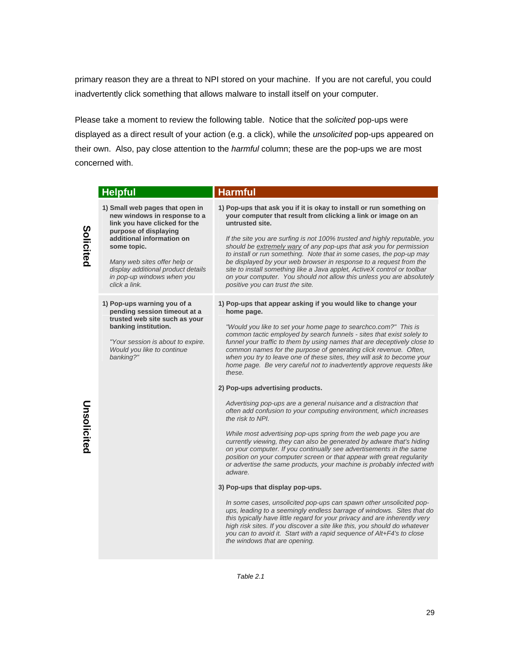primary reason they are a threat to NPI stored on your machine. If you are not careful, you could inadvertently click something that allows malware to install itself on your computer.

Please take a moment to review the following table. Notice that the *solicited* pop-ups were displayed as a direct result of your action (e.g. a click), while the *unsolicited* pop-ups appeared on their own. Also, pay close attention to the *harmful* column; these are the pop-ups we are most concerned with.

|             | <b>Helpful</b>                                                                                                                                                        | <b>Harmful</b>                                                                                                                                                                                                                                                                                                                                                                                                                                        |
|-------------|-----------------------------------------------------------------------------------------------------------------------------------------------------------------------|-------------------------------------------------------------------------------------------------------------------------------------------------------------------------------------------------------------------------------------------------------------------------------------------------------------------------------------------------------------------------------------------------------------------------------------------------------|
| Solicited   | 1) Small web pages that open in<br>new windows in response to a<br>link you have clicked for the<br>purpose of displaying<br>additional information on<br>some topic. | 1) Pop-ups that ask you if it is okay to install or run something on<br>your computer that result from clicking a link or image on an<br>untrusted site.<br>If the site you are surfing is not 100% trusted and highly reputable, you<br>should be extremely wary of any pop-ups that ask you for permission                                                                                                                                          |
|             | Many web sites offer help or<br>display additional product details<br>in pop-up windows when you<br>click a link.                                                     | to install or run something. Note that in some cases, the pop-up may<br>be displayed by your web browser in response to a request from the<br>site to install something like a Java applet, ActiveX control or toolbar<br>on your computer. You should not allow this unless you are absolutely<br>positive you can trust the site.                                                                                                                   |
|             | 1) Pop-ups warning you of a<br>pending session timeout at a<br>trusted web site such as your                                                                          | 1) Pop-ups that appear asking if you would like to change your<br>home page.                                                                                                                                                                                                                                                                                                                                                                          |
|             | banking institution.<br>"Your session is about to expire.<br>Would you like to continue<br>banking?"                                                                  | "Would you like to set your home page to searchco.com?" This is<br>common tactic employed by search funnels - sites that exist solely to<br>funnel your traffic to them by using names that are deceptively close to<br>common names for the purpose of generating click revenue. Often,<br>when you try to leave one of these sites, they will ask to become your<br>home page. Be very careful not to inadvertently approve requests like<br>these. |
|             |                                                                                                                                                                       | 2) Pop-ups advertising products.                                                                                                                                                                                                                                                                                                                                                                                                                      |
|             |                                                                                                                                                                       | Advertising pop-ups are a general nuisance and a distraction that<br>often add confusion to your computing environment, which increases<br>the risk to NPI.                                                                                                                                                                                                                                                                                           |
| Unsolicited |                                                                                                                                                                       | While most advertising pop-ups spring from the web page you are<br>currently viewing, they can also be generated by adware that's hiding<br>on your computer. If you continually see advertisements in the same<br>position on your computer screen or that appear with great regularity<br>or advertise the same products, your machine is probably infected with<br>adware.                                                                         |
|             |                                                                                                                                                                       | 3) Pop-ups that display pop-ups.                                                                                                                                                                                                                                                                                                                                                                                                                      |
|             |                                                                                                                                                                       | In some cases, unsolicited pop-ups can spawn other unsolicited pop-<br>ups, leading to a seemingly endless barrage of windows. Sites that do<br>this typically have little regard for your privacy and are inherently very<br>high risk sites. If you discover a site like this, you should do whatever<br>you can to avoid it. Start with a rapid sequence of Alt+F4's to close<br>the windows that are opening.                                     |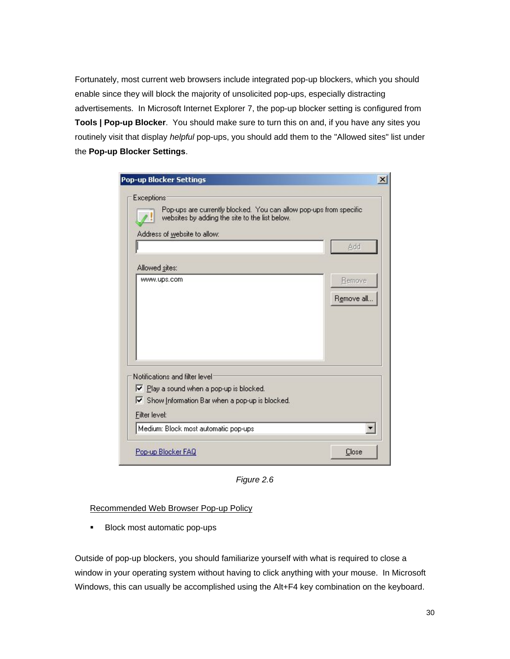Fortunately, most current web browsers include integrated pop-up blockers, which you should enable since they will block the majority of unsolicited pop-ups, especially distracting advertisements. In Microsoft Internet Explorer 7, the pop-up blocker setting is configured from **Tools | Pop-up Blocker**. You should make sure to turn this on and, if you have any sites you routinely visit that display *helpful* pop-ups, you should add them to the "Allowed sites" list under the **Pop-up Blocker Settings**.

| Exceptions<br>Pop-ups are currently blocked. You can allow pop-ups from specific<br>websites by adding the site to the list below.<br>Address of website to allow: |                             |
|--------------------------------------------------------------------------------------------------------------------------------------------------------------------|-----------------------------|
| Allowed sites:                                                                                                                                                     | Add                         |
| www.ups.com                                                                                                                                                        | <b>Remove</b><br>Remove all |
| Notifications and filter level:                                                                                                                                    |                             |
| Ⅳ Play a sound when a pop-up is blocked.<br>Show Information Bar when a pop-up is blocked.<br>Filter level:                                                        |                             |
| Medium: Block most automatic pop-ups                                                                                                                               |                             |

*Figure 2.6*

#### Recommended Web Browser Pop-up Policy

**Block most automatic pop-ups** 

Outside of pop-up blockers, you should familiarize yourself with what is required to close a window in your operating system without having to click anything with your mouse. In Microsoft Windows, this can usually be accomplished using the Alt+F4 key combination on the keyboard.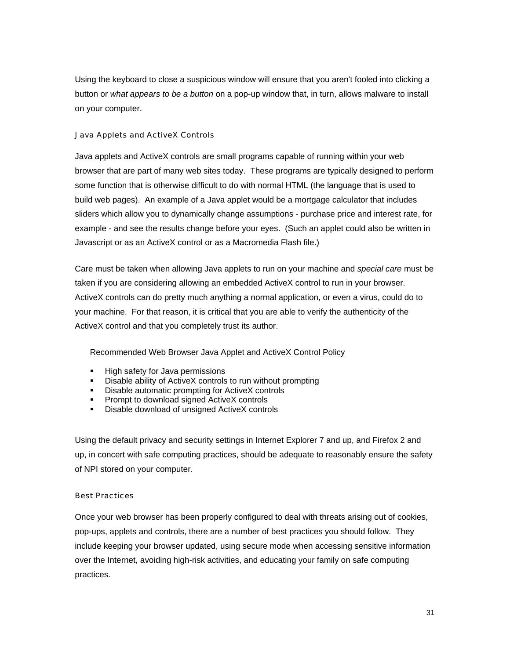Using the keyboard to close a suspicious window will ensure that you aren't fooled into clicking a button or *what appears to be a button* on a pop-up window that, in turn, allows malware to install on your computer.

#### Java Applets and ActiveX Controls

Java applets and ActiveX controls are small programs capable of running within your web browser that are part of many web sites today. These programs are typically designed to perform some function that is otherwise difficult to do with normal HTML (the language that is used to build web pages). An example of a Java applet would be a mortgage calculator that includes sliders which allow you to dynamically change assumptions - purchase price and interest rate, for example - and see the results change before your eyes. (Such an applet could also be written in Javascript or as an ActiveX control or as a Macromedia Flash file.)

Care must be taken when allowing Java applets to run on your machine and *special care* must be taken if you are considering allowing an embedded ActiveX control to run in your browser. ActiveX controls can do pretty much anything a normal application, or even a virus, could do to your machine. For that reason, it is critical that you are able to verify the authenticity of the ActiveX control and that you completely trust its author.

## Recommended Web Browser Java Applet and ActiveX Control Policy

- **High safety for Java permissions**
- Disable ability of ActiveX controls to run without prompting
- **-** Disable automatic prompting for ActiveX controls
- **Prompt to download signed ActiveX controls**
- Disable download of unsigned ActiveX controls

Using the default privacy and security settings in Internet Explorer 7 and up, and Firefox 2 and up, in concert with safe computing practices, should be adequate to reasonably ensure the safety of NPI stored on your computer.

#### Best Practices

Once your web browser has been properly configured to deal with threats arising out of cookies, pop-ups, applets and controls, there are a number of best practices you should follow. They include keeping your browser updated, using secure mode when accessing sensitive information over the Internet, avoiding high-risk activities, and educating your family on safe computing practices.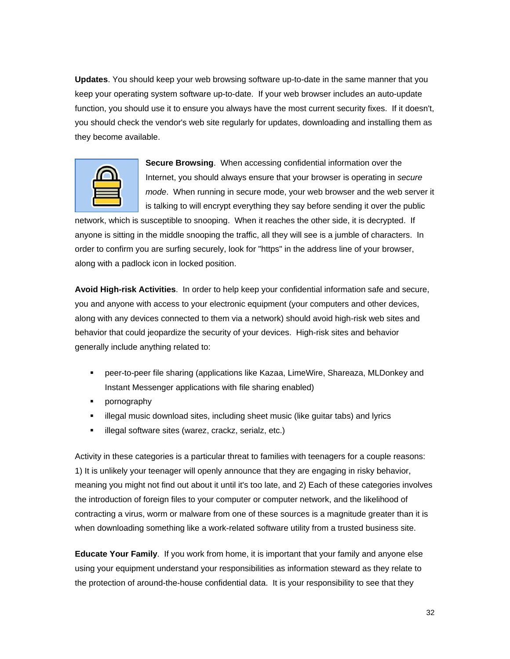**Updates**. You should keep your web browsing software up-to-date in the same manner that you keep your operating system software up-to-date. If your web browser includes an auto-update function, you should use it to ensure you always have the most current security fixes. If it doesn't, you should check the vendor's web site regularly for updates, downloading and installing them as they become available.



**Secure Browsing**. When accessing confidential information over the Internet, you should always ensure that your browser is operating in *secure mode*. When running in secure mode, your web browser and the web server it is talking to will encrypt everything they say before sending it over the public

network, which is susceptible to snooping. When it reaches the other side, it is decrypted. If anyone is sitting in the middle snooping the traffic, all they will see is a jumble of characters. In order to confirm you are surfing securely, look for "https" in the address line of your browser, along with a padlock icon in locked position.

**Avoid High-risk Activities**. In order to help keep your confidential information safe and secure, you and anyone with access to your electronic equipment (your computers and other devices, along with any devices connected to them via a network) should avoid high-risk web sites and behavior that could jeopardize the security of your devices. High-risk sites and behavior generally include anything related to:

- peer-to-peer file sharing (applications like Kazaa, LimeWire, Shareaza, MLDonkey and Instant Messenger applications with file sharing enabled)
- **•** pornography
- illegal music download sites, including sheet music (like guitar tabs) and lyrics
- **illegal software sites (warez, crackz, serialz, etc.)**

Activity in these categories is a particular threat to families with teenagers for a couple reasons: 1) It is unlikely your teenager will openly announce that they are engaging in risky behavior, meaning you might not find out about it until it's too late, and 2) Each of these categories involves the introduction of foreign files to your computer or computer network, and the likelihood of contracting a virus, worm or malware from one of these sources is a magnitude greater than it is when downloading something like a work-related software utility from a trusted business site.

**Educate Your Family**. If you work from home, it is important that your family and anyone else using your equipment understand your responsibilities as information steward as they relate to the protection of around-the-house confidential data. It is your responsibility to see that they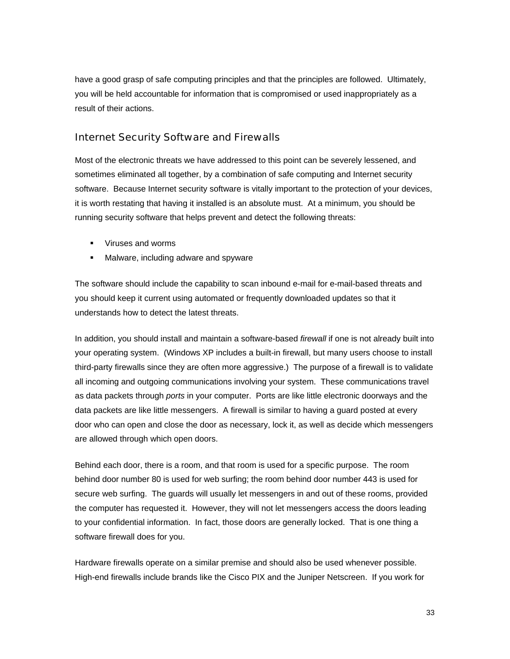have a good grasp of safe computing principles and that the principles are followed. Ultimately, you will be held accountable for information that is compromised or used inappropriately as a result of their actions.

# Internet Security Software and Firewalls

Most of the electronic threats we have addressed to this point can be severely lessened, and sometimes eliminated all together, by a combination of safe computing and Internet security software. Because Internet security software is vitally important to the protection of your devices, it is worth restating that having it installed is an absolute must. At a minimum, you should be running security software that helps prevent and detect the following threats:

- Viruses and worms
- **Malware, including adware and spyware**

The software should include the capability to scan inbound e-mail for e-mail-based threats and you should keep it current using automated or frequently downloaded updates so that it understands how to detect the latest threats.

In addition, you should install and maintain a software-based *firewall* if one is not already built into your operating system. (Windows XP includes a built-in firewall, but many users choose to install third-party firewalls since they are often more aggressive.) The purpose of a firewall is to validate all incoming and outgoing communications involving your system. These communications travel as data packets through *ports* in your computer. Ports are like little electronic doorways and the data packets are like little messengers. A firewall is similar to having a guard posted at every door who can open and close the door as necessary, lock it, as well as decide which messengers are allowed through which open doors.

Behind each door, there is a room, and that room is used for a specific purpose. The room behind door number 80 is used for web surfing; the room behind door number 443 is used for secure web surfing. The guards will usually let messengers in and out of these rooms, provided the computer has requested it. However, they will not let messengers access the doors leading to your confidential information. In fact, those doors are generally locked. That is one thing a software firewall does for you.

Hardware firewalls operate on a similar premise and should also be used whenever possible. High-end firewalls include brands like the Cisco PIX and the Juniper Netscreen. If you work for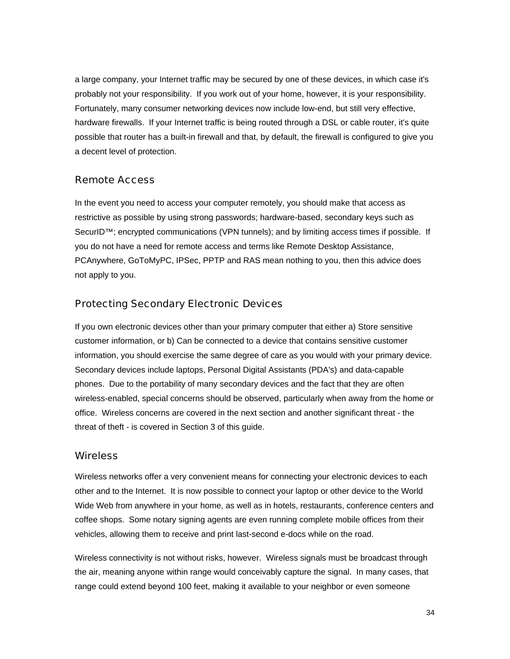a large company, your Internet traffic may be secured by one of these devices, in which case it's probably not your responsibility. If you work out of your home, however, it is your responsibility. Fortunately, many consumer networking devices now include low-end, but still very effective, hardware firewalls. If your Internet traffic is being routed through a DSL or cable router, it's quite possible that router has a built-in firewall and that, by default, the firewall is configured to give you a decent level of protection.

## Remote Access

In the event you need to access your computer remotely, you should make that access as restrictive as possible by using strong passwords; hardware-based, secondary keys such as SecurID™; encrypted communications (VPN tunnels); and by limiting access times if possible. If you do not have a need for remote access and terms like Remote Desktop Assistance, PCAnywhere, GoToMyPC, IPSec, PPTP and RAS mean nothing to you, then this advice does not apply to you.

#### Protecting Secondary Electronic Devices

If you own electronic devices other than your primary computer that either a) Store sensitive customer information, or b) Can be connected to a device that contains sensitive customer information, you should exercise the same degree of care as you would with your primary device. Secondary devices include laptops, Personal Digital Assistants (PDA's) and data-capable phones. Due to the portability of many secondary devices and the fact that they are often wireless-enabled, special concerns should be observed, particularly when away from the home or office. Wireless concerns are covered in the next section and another significant threat - the threat of theft - is covered in Section 3 of this guide.

## **Wireless**

Wireless networks offer a very convenient means for connecting your electronic devices to each other and to the Internet. It is now possible to connect your laptop or other device to the World Wide Web from anywhere in your home, as well as in hotels, restaurants, conference centers and coffee shops. Some notary signing agents are even running complete mobile offices from their vehicles, allowing them to receive and print last-second e-docs while on the road.

Wireless connectivity is not without risks, however. Wireless signals must be broadcast through the air, meaning anyone within range would conceivably capture the signal. In many cases, that range could extend beyond 100 feet, making it available to your neighbor or even someone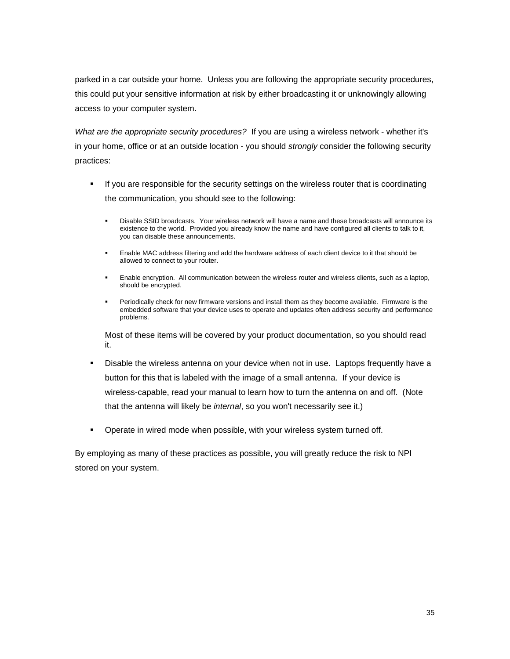parked in a car outside your home. Unless you are following the appropriate security procedures, this could put your sensitive information at risk by either broadcasting it or unknowingly allowing access to your computer system.

*What are the appropriate security procedures?* If you are using a wireless network - whether it's in your home, office or at an outside location - you should *strongly* consider the following security practices:

- **If you are responsible for the security settings on the wireless router that is coordinating** the communication, you should see to the following:
	- Disable SSID broadcasts. Your wireless network will have a name and these broadcasts will announce its existence to the world. Provided you already know the name and have configured all clients to talk to it, you can disable these announcements.
	- Enable MAC address filtering and add the hardware address of each client device to it that should be allowed to connect to your router.
	- **Enable encryption. All communication between the wireless router and wireless clients, such as a laptop,** should be encrypted.
	- Periodically check for new firmware versions and install them as they become available. Firmware is the embedded software that your device uses to operate and updates often address security and performance problems.

Most of these items will be covered by your product documentation, so you should read it.

- Disable the wireless antenna on your device when not in use. Laptops frequently have a button for this that is labeled with the image of a small antenna. If your device is wireless-capable, read your manual to learn how to turn the antenna on and off. (Note that the antenna will likely be *internal*, so you won't necessarily see it.)
- **•** Operate in wired mode when possible, with your wireless system turned off.

By employing as many of these practices as possible, you will greatly reduce the risk to NPI stored on your system.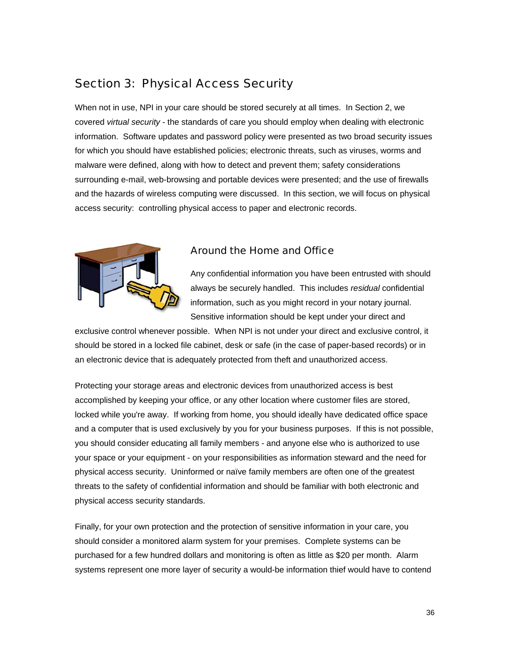# Section 3: Physical Access Security

When not in use, NPI in your care should be stored securely at all times. In Section 2, we covered *virtual security* - the standards of care you should employ when dealing with electronic information. Software updates and password policy were presented as two broad security issues for which you should have established policies; electronic threats, such as viruses, worms and malware were defined, along with how to detect and prevent them; safety considerations surrounding e-mail, web-browsing and portable devices were presented; and the use of firewalls and the hazards of wireless computing were discussed. In this section, we will focus on physical access security: controlling physical access to paper and electronic records.



## Around the Home and Office

Any confidential information you have been entrusted with should always be securely handled. This includes *residual* confidential information, such as you might record in your notary journal. Sensitive information should be kept under your direct and

exclusive control whenever possible. When NPI is not under your direct and exclusive control, it should be stored in a locked file cabinet, desk or safe (in the case of paper-based records) or in an electronic device that is adequately protected from theft and unauthorized access.

Protecting your storage areas and electronic devices from unauthorized access is best accomplished by keeping your office, or any other location where customer files are stored, locked while you're away. If working from home, you should ideally have dedicated office space and a computer that is used exclusively by you for your business purposes. If this is not possible, you should consider educating all family members - and anyone else who is authorized to use your space or your equipment - on your responsibilities as information steward and the need for physical access security. Uninformed or naïve family members are often one of the greatest threats to the safety of confidential information and should be familiar with both electronic and physical access security standards.

Finally, for your own protection and the protection of sensitive information in your care, you should consider a monitored alarm system for your premises. Complete systems can be purchased for a few hundred dollars and monitoring is often as little as \$20 per month. Alarm systems represent one more layer of security a would-be information thief would have to contend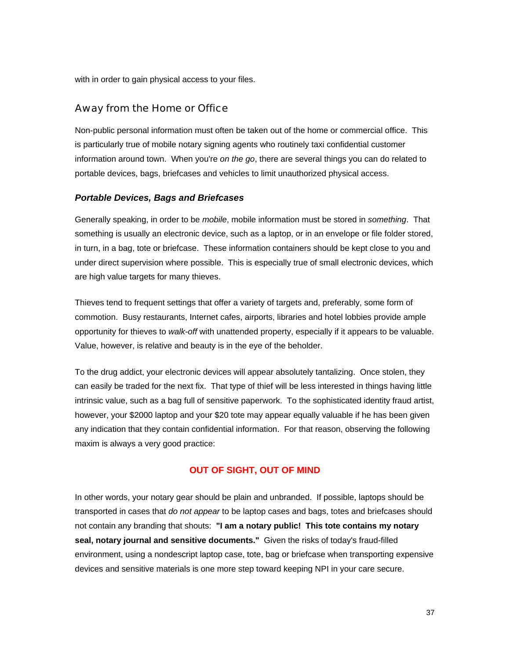with in order to gain physical access to your files.

## Away from the Home or Office

Non-public personal information must often be taken out of the home or commercial office. This is particularly true of mobile notary signing agents who routinely taxi confidential customer information around town. When you're *on the go*, there are several things you can do related to portable devices, bags, briefcases and vehicles to limit unauthorized physical access.

#### *Portable Devices, Bags and Briefcases*

Generally speaking, in order to be *mobile*, mobile information must be stored in *something*. That something is usually an electronic device, such as a laptop, or in an envelope or file folder stored, in turn, in a bag, tote or briefcase. These information containers should be kept close to you and under direct supervision where possible. This is especially true of small electronic devices, which are high value targets for many thieves.

Thieves tend to frequent settings that offer a variety of targets and, preferably, some form of commotion. Busy restaurants, Internet cafes, airports, libraries and hotel lobbies provide ample opportunity for thieves to *walk-off* with unattended property, especially if it appears to be valuable. Value, however, is relative and beauty is in the eye of the beholder.

To the drug addict, your electronic devices will appear absolutely tantalizing. Once stolen, they can easily be traded for the next fix. That type of thief will be less interested in things having little intrinsic value, such as a bag full of sensitive paperwork. To the sophisticated identity fraud artist, however, your \$2000 laptop and your \$20 tote may appear equally valuable if he has been given any indication that they contain confidential information. For that reason, observing the following maxim is always a very good practice:

#### **OUT OF SIGHT, OUT OF MIND**

In other words, your notary gear should be plain and unbranded. If possible, laptops should be transported in cases that *do not appear* to be laptop cases and bags, totes and briefcases should not contain any branding that shouts: **"I am a notary public! This tote contains my notary seal, notary journal and sensitive documents."** Given the risks of today's fraud-filled environment, using a nondescript laptop case, tote, bag or briefcase when transporting expensive devices and sensitive materials is one more step toward keeping NPI in your care secure.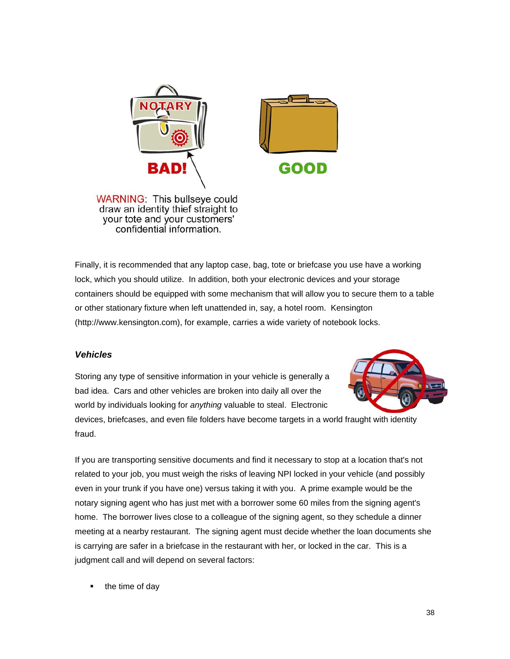



**WARNING: This bullseye could** draw an identity thief straight to your tote and your customers' confidential information.

Finally, it is recommended that any laptop case, bag, tote or briefcase you use have a working lock, which you should utilize. In addition, both your electronic devices and your storage containers should be equipped with some mechanism that will allow you to secure them to a table or other stationary fixture when left unattended in, say, a hotel room. Kensington (http://www.kensington.com), for example, carries a wide variety of notebook locks.

## *Vehicles*

Storing any type of sensitive information in your vehicle is generally a bad idea. Cars and other vehicles are broken into daily all over the world by individuals looking for *anything* valuable to steal. Electronic



devices, briefcases, and even file folders have become targets in a world fraught with identity fraud.

If you are transporting sensitive documents and find it necessary to stop at a location that's not related to your job, you must weigh the risks of leaving NPI locked in your vehicle (and possibly even in your trunk if you have one) versus taking it with you. A prime example would be the notary signing agent who has just met with a borrower some 60 miles from the signing agent's home. The borrower lives close to a colleague of the signing agent, so they schedule a dinner meeting at a nearby restaurant. The signing agent must decide whether the loan documents she is carrying are safer in a briefcase in the restaurant with her, or locked in the car. This is a judgment call and will depend on several factors:

• the time of day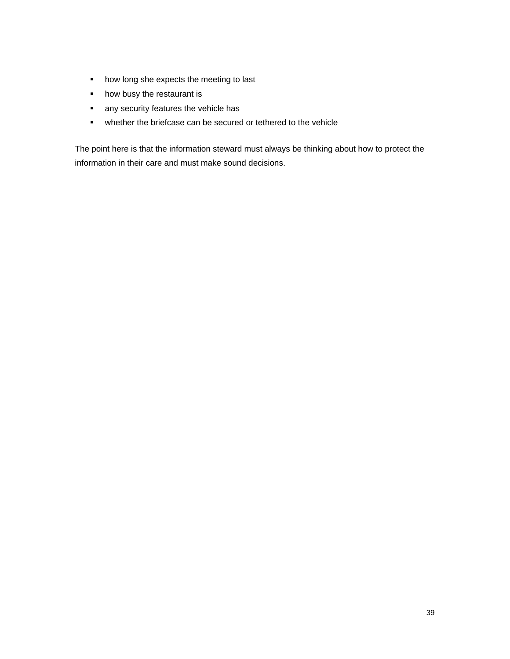- how long she expects the meeting to last
- how busy the restaurant is
- **a** any security features the vehicle has
- whether the briefcase can be secured or tethered to the vehicle

The point here is that the information steward must always be thinking about how to protect the information in their care and must make sound decisions.